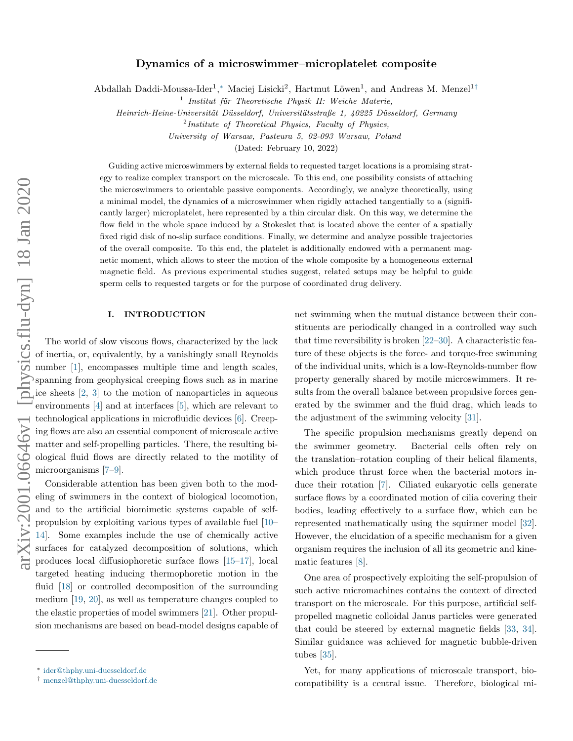# Dynamics of a microswimmer–microplatelet composite

Abdallah Daddi-Moussa-Ider<sup>1</sup>,\* Maciej Lisicki<sup>2</sup>, Hartmut Löwen<sup>1</sup>, and Andreas M. Menzel<sup>1[†](#page-0-1)</sup>

Heinrich-Heine-Universität Düsseldorf, Universitätsstraße 1, 40225 Düsseldorf, Germany

University of Warsaw, Pasteura 5, 02-093 Warsaw, Poland

(Dated: February 10, 2022)

Guiding active microswimmers by external fields to requested target locations is a promising strategy to realize complex transport on the microscale. To this end, one possibility consists of attaching the microswimmers to orientable passive components. Accordingly, we analyze theoretically, using a minimal model, the dynamics of a microswimmer when rigidly attached tangentially to a (significantly larger) microplatelet, here represented by a thin circular disk. On this way, we determine the flow field in the whole space induced by a Stokeslet that is located above the center of a spatially fixed rigid disk of no-slip surface conditions. Finally, we determine and analyze possible trajectories of the overall composite. To this end, the platelet is additionally endowed with a permanent magnetic moment, which allows to steer the motion of the whole composite by a homogeneous external magnetic field. As previous experimental studies suggest, related setups may be helpful to guide sperm cells to requested targets or for the purpose of coordinated drug delivery.

# I. INTRODUCTION

The world of slow viscous flows, characterized by the lack of inertia, or, equivalently, by a vanishingly small Reynolds number [\[1\]](#page-14-0), encompasses multiple time and length scales, spanning from geophysical creeping flows such as in marine ice sheets [\[2,](#page-14-1) [3\]](#page-14-2) to the motion of nanoparticles in aqueous environments [\[4\]](#page-14-3) and at interfaces [\[5\]](#page-14-4), which are relevant to technological applications in microfluidic devices [\[6\]](#page-14-5). Creeping flows are also an essential component of microscale active matter and self-propelling particles. There, the resulting biological fluid flows are directly related to the motility of microorganisms [\[7–](#page-14-6)[9\]](#page-15-0).

Considerable attention has been given both to the modeling of swimmers in the context of biological locomotion, and to the artificial biomimetic systems capable of selfpropulsion by exploiting various types of available fuel [\[10–](#page-15-1) [14\]](#page-15-2). Some examples include the use of chemically active surfaces for catalyzed decomposition of solutions, which produces local diffusiophoretic surface flows [\[15](#page-15-3)[–17\]](#page-15-4), local targeted heating inducing thermophoretic motion in the fluid [\[18\]](#page-15-5) or controlled decomposition of the surrounding medium [\[19,](#page-15-6) [20\]](#page-15-7), as well as temperature changes coupled to the elastic properties of model swimmers [\[21\]](#page-15-8). Other propulsion mechanisms are based on bead-model designs capable of net swimming when the mutual distance between their constituents are periodically changed in a controlled way such that time reversibility is broken [\[22–](#page-15-9)[30\]](#page-15-10). A characteristic feature of these objects is the force- and torque-free swimming of the individual units, which is a low-Reynolds-number flow property generally shared by motile microswimmers. It results from the overall balance between propulsive forces generated by the swimmer and the fluid drag, which leads to the adjustment of the swimming velocity [\[31\]](#page-15-11).

The specific propulsion mechanisms greatly depend on the swimmer geometry. Bacterial cells often rely on the translation–rotation coupling of their helical filaments, which produce thrust force when the bacterial motors induce their rotation [\[7\]](#page-14-6). Ciliated eukaryotic cells generate surface flows by a coordinated motion of cilia covering their bodies, leading effectively to a surface flow, which can be represented mathematically using the squirmer model [\[32\]](#page-15-12). However, the elucidation of a specific mechanism for a given organism requires the inclusion of all its geometric and kinematic features [\[8\]](#page-14-7).

One area of prospectively exploiting the self-propulsion of such active micromachines contains the context of directed transport on the microscale. For this purpose, artificial selfpropelled magnetic colloidal Janus particles were generated that could be steered by external magnetic fields [\[33,](#page-15-13) [34\]](#page-15-14). Similar guidance was achieved for magnetic bubble-driven tubes [\[35\]](#page-15-15).

Yet, for many applications of microscale transport, biocompatibility is a central issue. Therefore, biological mi-

<sup>&</sup>lt;sup>1</sup> Institut für Theoretische Physik II: Weiche Materie,

<sup>&</sup>lt;sup>2</sup>Institute of Theoretical Physics, Faculty of Physics,

<span id="page-0-0"></span><sup>∗</sup> [ider@thphy.uni-duesseldorf.de](mailto:ider@thphy.uni-duesseldorf.de)

<span id="page-0-1"></span><sup>†</sup> [menzel@thphy.uni-duesseldorf.de](mailto:menzel@thphy.uni-duesseldorf.de)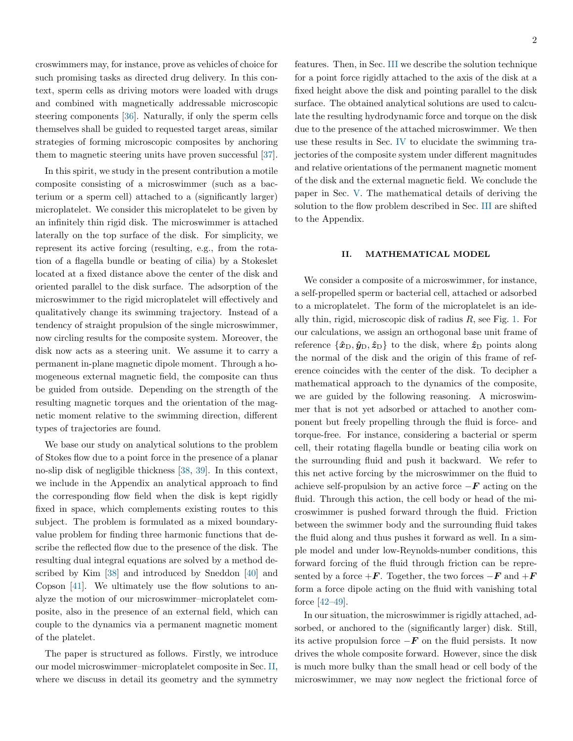croswimmers may, for instance, prove as vehicles of choice for such promising tasks as directed drug delivery. In this context, sperm cells as driving motors were loaded with drugs and combined with magnetically addressable microscopic steering components [\[36\]](#page-15-16). Naturally, if only the sperm cells themselves shall be guided to requested target areas, similar strategies of forming microscopic composites by anchoring them to magnetic steering units have proven successful [\[37\]](#page-15-17).

In this spirit, we study in the present contribution a motile composite consisting of a microswimmer (such as a bacterium or a sperm cell) attached to a (significantly larger) microplatelet. We consider this microplatelet to be given by an infinitely thin rigid disk. The microswimmer is attached laterally on the top surface of the disk. For simplicity, we represent its active forcing (resulting, e.g., from the rotation of a flagella bundle or beating of cilia) by a Stokeslet located at a fixed distance above the center of the disk and oriented parallel to the disk surface. The adsorption of the microswimmer to the rigid microplatelet will effectively and qualitatively change its swimming trajectory. Instead of a tendency of straight propulsion of the single microswimmer, now circling results for the composite system. Moreover, the disk now acts as a steering unit. We assume it to carry a permanent in-plane magnetic dipole moment. Through a homogeneous external magnetic field, the composite can thus be guided from outside. Depending on the strength of the resulting magnetic torques and the orientation of the magnetic moment relative to the swimming direction, different types of trajectories are found.

We base our study on analytical solutions to the problem of Stokes flow due to a point force in the presence of a planar no-slip disk of negligible thickness [\[38,](#page-15-18) [39\]](#page-15-19). In this context, we include in the Appendix an analytical approach to find the corresponding flow field when the disk is kept rigidly fixed in space, which complements existing routes to this subject. The problem is formulated as a mixed boundaryvalue problem for finding three harmonic functions that describe the reflected flow due to the presence of the disk. The resulting dual integral equations are solved by a method described by Kim [\[38\]](#page-15-18) and introduced by Sneddon [\[40\]](#page-15-20) and Copson [\[41\]](#page-15-21). We ultimately use the flow solutions to analyze the motion of our microswimmer–microplatelet composite, also in the presence of an external field, which can couple to the dynamics via a permanent magnetic moment of the platelet.

The paper is structured as follows. Firstly, we introduce our model microswimmer–microplatelet composite in Sec. [II,](#page-1-0) where we discuss in detail its geometry and the symmetry features. Then, in Sec. [III](#page-3-0) we describe the solution technique for a point force rigidly attached to the axis of the disk at a fixed height above the disk and pointing parallel to the disk surface. The obtained analytical solutions are used to calculate the resulting hydrodynamic force and torque on the disk due to the presence of the attached microswimmer. We then use these results in Sec. [IV](#page-7-0) to elucidate the swimming trajectories of the composite system under different magnitudes and relative orientations of the permanent magnetic moment of the disk and the external magnetic field. We conclude the paper in Sec. [V.](#page-9-0) The mathematical details of deriving the solution to the flow problem described in Sec. [III](#page-3-0) are shifted to the Appendix.

#### <span id="page-1-0"></span>II. MATHEMATICAL MODEL

We consider a composite of a microswimmer, for instance, a self-propelled sperm or bacterial cell, attached or adsorbed to a microplatelet. The form of the microplatelet is an ideally thin, rigid, microscopic disk of radius  $R$ , see Fig. [1.](#page-2-0) For our calculations, we assign an orthogonal base unit frame of reference  $\{\hat{x}_{D}, \hat{y}_{D}, \hat{z}_{D}\}\$  to the disk, where  $\hat{z}_{D}$  points along the normal of the disk and the origin of this frame of reference coincides with the center of the disk. To decipher a mathematical approach to the dynamics of the composite, we are guided by the following reasoning. A microswimmer that is not yet adsorbed or attached to another component but freely propelling through the fluid is force- and torque-free. For instance, considering a bacterial or sperm cell, their rotating flagella bundle or beating cilia work on the surrounding fluid and push it backward. We refer to this net active forcing by the microswimmer on the fluid to achieve self-propulsion by an active force  $-F$  acting on the fluid. Through this action, the cell body or head of the microswimmer is pushed forward through the fluid. Friction between the swimmer body and the surrounding fluid takes the fluid along and thus pushes it forward as well. In a simple model and under low-Reynolds-number conditions, this forward forcing of the fluid through friction can be represented by a force  $+F$ . Together, the two forces  $-F$  and  $+F$ form a force dipole acting on the fluid with vanishing total force [\[42–](#page-15-22)[49\]](#page-16-0).

In our situation, the microswimmer is rigidly attached, adsorbed, or anchored to the (significantly larger) disk. Still, its active propulsion force  $-F$  on the fluid persists. It now drives the whole composite forward. However, since the disk is much more bulky than the small head or cell body of the microswimmer, we may now neglect the frictional force of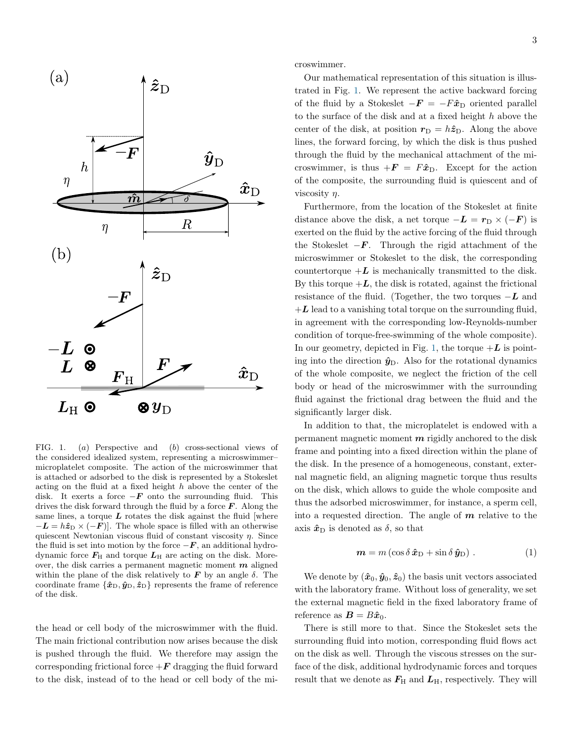

<span id="page-2-0"></span>FIG. 1. (a) Perspective and (b) cross-sectional views of the considered idealized system, representing a microswimmer– microplatelet composite. The action of the microswimmer that is attached or adsorbed to the disk is represented by a Stokeslet acting on the fluid at a fixed height h above the center of the disk. It exerts a force  $-F$  onto the surrounding fluid. This drives the disk forward through the fluid by a force  $\bm{F}$ . Along the same lines, a torque  $\boldsymbol{L}$  rotates the disk against the fluid [where  $-L = h\hat{z}_{D} \times (-F)$ . The whole space is filled with an otherwise quiescent Newtonian viscous fluid of constant viscosity  $\eta$ . Since the fluid is set into motion by the force  $-F$ , an additional hydrodynamic force  $F_{\text{H}}$  and torque  $L_{\text{H}}$  are acting on the disk. Moreover, the disk carries a permanent magnetic moment  $m$  aligned within the plane of the disk relatively to  $\boldsymbol{F}$  by an angle  $\delta$ . The coordinate frame  $\{\hat{x}_{D}, \hat{y}_{D}, \hat{z}_{D}\}\$  represents the frame of reference of the disk.

the head or cell body of the microswimmer with the fluid. The main frictional contribution now arises because the disk is pushed through the fluid. We therefore may assign the corresponding frictional force  $+F$  dragging the fluid forward to the disk, instead of to the head or cell body of the microswimmer.

Our mathematical representation of this situation is illustrated in Fig. [1.](#page-2-0) We represent the active backward forcing of the fluid by a Stokeslet  $-F = -F\hat{x}_D$  oriented parallel to the surface of the disk and at a fixed height  $h$  above the center of the disk, at position  $r_D = h\hat{z}_D$ . Along the above lines, the forward forcing, by which the disk is thus pushed through the fluid by the mechanical attachment of the microswimmer, is thus  $+F = F\hat{x}_D$ . Except for the action of the composite, the surrounding fluid is quiescent and of viscosity  $\eta$ .

Furthermore, from the location of the Stokeslet at finite distance above the disk, a net torque  $-\mathbf{L} = \mathbf{r}_{\mathrm{D}} \times (-\mathbf{F})$  is exerted on the fluid by the active forcing of the fluid through the Stokeslet  $-F$ . Through the rigid attachment of the microswimmer or Stokeslet to the disk, the corresponding countertorque  $+L$  is mechanically transmitted to the disk. By this torque  $+L$ , the disk is rotated, against the frictional resistance of the fluid. (Together, the two torques  $-L$  and  $+L$  lead to a vanishing total torque on the surrounding fluid, in agreement with the corresponding low-Reynolds-number condition of torque-free-swimming of the whole composite). In our geometry, depicted in Fig. [1,](#page-2-0) the torque  $+L$  is pointing into the direction  $\hat{y}_D$ . Also for the rotational dynamics of the whole composite, we neglect the friction of the cell body or head of the microswimmer with the surrounding fluid against the frictional drag between the fluid and the significantly larger disk.

In addition to that, the microplatelet is endowed with a permanent magnetic moment  $m$  rigidly anchored to the disk frame and pointing into a fixed direction within the plane of the disk. In the presence of a homogeneous, constant, external magnetic field, an aligning magnetic torque thus results on the disk, which allows to guide the whole composite and thus the adsorbed microswimmer, for instance, a sperm cell, into a requested direction. The angle of  $m$  relative to the axis  $\hat{x}_{\text{D}}$  is denoted as  $\delta$ , so that

$$
\mathbf{m} = m \left( \cos \delta \, \hat{\mathbf{x}}_{\mathrm{D}} + \sin \delta \, \hat{\mathbf{y}}_{\mathrm{D}} \right) . \tag{1}
$$

We denote by  $(\hat{x}_0, \hat{y}_0, \hat{z}_0)$  the basis unit vectors associated with the laboratory frame. Without loss of generality, we set the external magnetic field in the fixed laboratory frame of reference as  $\mathbf{B} = B\hat{\boldsymbol{x}}_0$ .

There is still more to that. Since the Stokeslet sets the surrounding fluid into motion, corresponding fluid flows act on the disk as well. Through the viscous stresses on the surface of the disk, additional hydrodynamic forces and torques result that we denote as  $F_{\rm H}$  and  $L_{\rm H}$ , respectively. They will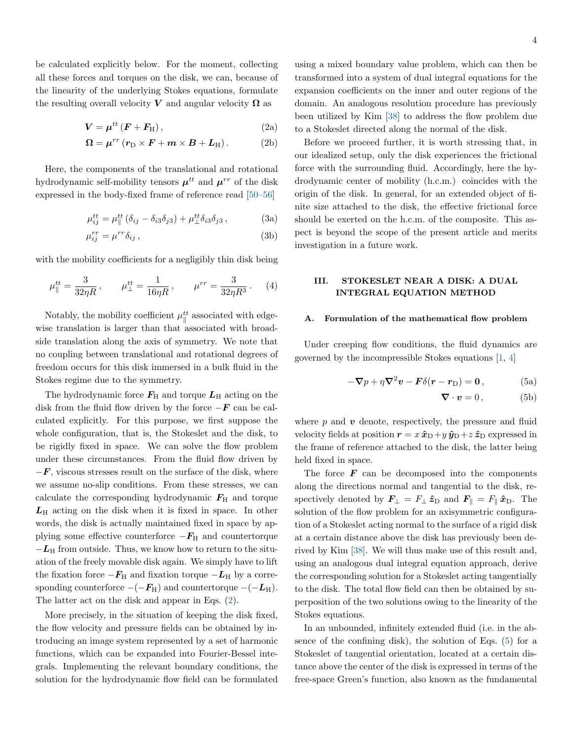be calculated explicitly below. For the moment, collecting all these forces and torques on the disk, we can, because of the linearity of the underlying Stokes equations, formulate the resulting overall velocity V and angular velocity  $\Omega$  as

$$
V = \mu^{tt} \left( \boldsymbol{F} + \boldsymbol{F}_{\mathrm{H}} \right), \tag{2a}
$$

$$
\Omega = \mu^{rr} (r_{\rm D} \times F + m \times B + L_{\rm H}). \tag{2b}
$$

Here, the components of the translational and rotational hydrodynamic self-mobility tensors  $\mu^{tt}$  and  $\mu^{rr}$  of the disk expressed in the body-fixed frame of reference read [\[50–](#page-16-1)[56\]](#page-16-2)

$$
\mu_{ij}^{tt} = \mu_{\parallel}^{tt} (\delta_{ij} - \delta_{i3}\delta_{j3}) + \mu_{\perp}^{tt} \delta_{i3}\delta_{j3}, \qquad (3a)
$$

$$
\mu_{ij}^{rr} = \mu^{rr} \delta_{ij} , \qquad (3b)
$$

with the mobility coefficients for a negligibly thin disk being

$$
\mu_{\parallel}^{tt} = \frac{3}{32\eta R}, \qquad \mu_{\perp}^{tt} = \frac{1}{16\eta R}, \qquad \mu^{rr} = \frac{3}{32\eta R^3}. \tag{4}
$$

Notably, the mobility coefficient  $\mu_{\parallel}^{tt}$  associated with edgewise translation is larger than that associated with broadside translation along the axis of symmetry. We note that no coupling between translational and rotational degrees of freedom occurs for this disk immersed in a bulk fluid in the Stokes regime due to the symmetry.

The hydrodynamic force  $F_{\rm H}$  and torque  $L_{\rm H}$  acting on the disk from the fluid flow driven by the force  $-F$  can be calculated explicitly. For this purpose, we first suppose the whole configuration, that is, the Stokeslet and the disk, to be rigidly fixed in space. We can solve the flow problem under these circumstances. From the fluid flow driven by  $-F$ , viscous stresses result on the surface of the disk, where we assume no-slip conditions. From these stresses, we can calculate the corresponding hydrodynamic  $F_{\rm H}$  and torque  $L_{\rm H}$  acting on the disk when it is fixed in space. In other words, the disk is actually maintained fixed in space by applying some effective counterforce  $-F_H$  and countertorque  $-L_H$  from outside. Thus, we know how to return to the situation of the freely movable disk again. We simply have to lift the fixation force  $-F_H$  and fixation torque  $-L_H$  by a corresponding counterforce  $-(-F_H)$  and countertorque  $-(-L_H)$ . The latter act on the disk and appear in Eqs. [\(2\)](#page-3-1).

More precisely, in the situation of keeping the disk fixed, the flow velocity and pressure fields can be obtained by introducing an image system represented by a set of harmonic functions, which can be expanded into Fourier-Bessel integrals. Implementing the relevant boundary conditions, the solution for the hydrodynamic flow field can be formulated <span id="page-3-1"></span>using a mixed boundary value problem, which can then be transformed into a system of dual integral equations for the expansion coefficients on the inner and outer regions of the domain. An analogous resolution procedure has previously been utilized by Kim [\[38\]](#page-15-18) to address the flow problem due to a Stokeslet directed along the normal of the disk.

Before we proceed further, it is worth stressing that, in our idealized setup, only the disk experiences the frictional force with the surrounding fluid. Accordingly, here the hydrodynamic center of mobility (h.c.m.) coincides with the origin of the disk. In general, for an extended object of finite size attached to the disk, the effective frictional force should be exerted on the h.c.m. of the composite. This aspect is beyond the scope of the present article and merits investigation in a future work.

## <span id="page-3-0"></span>III. STOKESLET NEAR A DISK: A DUAL INTEGRAL EQUATION METHOD

## Formulation of the mathematical flow problem

Under creeping flow conditions, the fluid dynamics are governed by the incompressible Stokes equations [\[1,](#page-14-0) [4\]](#page-14-3)

$$
-\nabla p + \eta \nabla^2 \mathbf{v} - \mathbf{F} \delta(\mathbf{r} - \mathbf{r}_D) = \mathbf{0}, \qquad (5a)
$$

<span id="page-3-2"></span>
$$
\nabla \cdot \boldsymbol{v} = 0, \tag{5b}
$$

where  $p$  and  $v$  denote, respectively, the pressure and fluid velocity fields at position  $r = x \hat{x}_{D} + y \hat{y}_{D} + z \hat{z}_{D}$  expressed in the frame of reference attached to the disk, the latter being held fixed in space.

The force  $\boldsymbol{F}$  can be decomposed into the components along the directions normal and tangential to the disk, respectively denoted by  $\mathbf{F}_{\perp} = F_{\perp} \hat{\mathbf{z}}_{\text{D}}$  and  $\mathbf{F}_{\parallel} = F_{\parallel} \hat{\mathbf{x}}_{\text{D}}$ . The solution of the flow problem for an axisymmetric configuration of a Stokeslet acting normal to the surface of a rigid disk at a certain distance above the disk has previously been derived by Kim [\[38\]](#page-15-18). We will thus make use of this result and, using an analogous dual integral equation approach, derive the corresponding solution for a Stokeslet acting tangentially to the disk. The total flow field can then be obtained by superposition of the two solutions owing to the linearity of the Stokes equations.

In an unbounded, infinitely extended fluid (i.e. in the absence of the confining disk), the solution of Eqs. [\(5\)](#page-3-2) for a Stokeslet of tangential orientation, located at a certain distance above the center of the disk is expressed in terms of the free-space Green's function, also known as the fundamental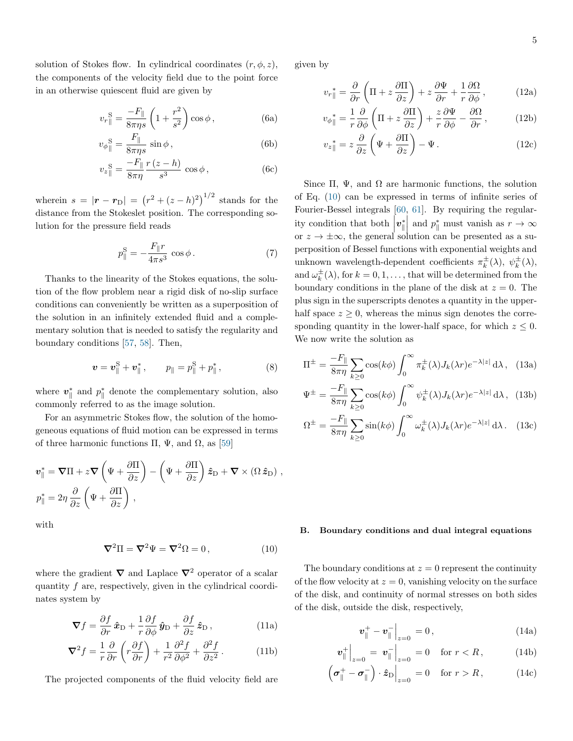solution of Stokes flow. In cylindrical coordinates  $(r, \phi, z)$ , the components of the velocity field due to the point force in an otherwise quiescent fluid are given by

$$
v_r^{\text{ S}} = \frac{-F_{\parallel}}{8\pi\eta s} \left( 1 + \frac{r^2}{s^2} \right) \cos\phi ,\qquad (6a)
$$

$$
v_{\phi}{}^{\mathcal{S}}_{\parallel} = \frac{F_{\parallel}}{8\pi\eta s} \sin \phi ,\qquad (6b)
$$

$$
v_z^{\text{S}} = \frac{-F_{\parallel}}{8\pi\eta} \frac{r(z-h)}{s^3} \cos\phi, \qquad (6c)
$$

wherein  $s = |\mathbf{r} - \mathbf{r}_{\text{D}}| = (r^2 + (z - h)^2)^{1/2}$  stands for the distance from the Stokeslet position. The corresponding solution for the pressure field reads

$$
p_{\parallel}^{\rm S} = -\frac{F_{\parallel}r}{4\pi s^3} \cos \phi.
$$
 (7)

Thanks to the linearity of the Stokes equations, the solution of the flow problem near a rigid disk of no-slip surface conditions can conveniently be written as a superposition of the solution in an infinitely extended fluid and a complementary solution that is needed to satisfy the regularity and boundary conditions [\[57,](#page-16-3) [58\]](#page-16-4). Then,

$$
\boldsymbol{v} = \boldsymbol{v}_{\parallel}^{S} + \boldsymbol{v}_{\parallel}^{*}, \qquad p_{\parallel} = p_{\parallel}^{S} + p_{\parallel}^{*}, \tag{8}
$$

where  $v_{\parallel}^*$  and  $p_{\parallel}^*$  denote the complementary solution, also commonly referred to as the image solution.

For an asymmetric Stokes flow, the solution of the homogeneous equations of fluid motion can be expressed in terms of three harmonic functions Π,  $\Psi$ , and  $\Omega$ , as [\[59\]](#page-16-5)

$$
\mathbf{v}_{\parallel}^* = \nabla \Pi + z \nabla \left( \Psi + \frac{\partial \Pi}{\partial z} \right) - \left( \Psi + \frac{\partial \Pi}{\partial z} \right) \hat{z}_{\text{D}} + \nabla \times (\Omega \hat{z}_{\text{D}}) ,
$$
  

$$
p_{\parallel}^* = 2\eta \frac{\partial}{\partial z} \left( \Psi + \frac{\partial \Pi}{\partial z} \right) ,
$$

with

<span id="page-4-0"></span>
$$
\nabla^2 \Pi = \nabla^2 \Psi = \nabla^2 \Omega = 0, \qquad (10)
$$

where the gradient  $\nabla$  and Laplace  $\nabla^2$  operator of a scalar quantity  $f$  are, respectively, given in the cylindrical coordinates system by

$$
\nabla f = \frac{\partial f}{\partial r} \,\hat{\mathbf{x}}_{\mathcal{D}} + \frac{1}{r} \frac{\partial f}{\partial \phi} \,\hat{\mathbf{y}}_{\mathcal{D}} + \frac{\partial f}{\partial z} \,\hat{\mathbf{z}}_{\mathcal{D}}\,,\tag{11a}
$$

$$
\nabla^2 f = \frac{1}{r} \frac{\partial}{\partial r} \left( r \frac{\partial f}{\partial r} \right) + \frac{1}{r^2} \frac{\partial^2 f}{\partial \phi^2} + \frac{\partial^2 f}{\partial z^2}.
$$
 (11b)

The projected components of the fluid velocity field are

given by

$$
v_r \rVert = \frac{\partial}{\partial r} \left( \Pi + z \frac{\partial \Pi}{\partial z} \right) + z \frac{\partial \Psi}{\partial r} + \frac{1}{r} \frac{\partial \Omega}{\partial \phi} , \qquad (12a)
$$

$$
v_{\phi\parallel}^* = \frac{1}{r} \frac{\partial}{\partial \phi} \left( \Pi + z \frac{\partial \Pi}{\partial z} \right) + \frac{z}{r} \frac{\partial \Psi}{\partial \phi} - \frac{\partial \Omega}{\partial r}, \qquad (12b)
$$

$$
v_z^* = z \frac{\partial}{\partial z} \left( \Psi + \frac{\partial \Pi}{\partial z} \right) - \Psi.
$$
 (12c)

Since  $\Pi$ ,  $\Psi$ , and  $\Omega$  are harmonic functions, the solution of Eq. [\(10\)](#page-4-0) can be expressed in terms of infinite series of Fourier-Bessel integrals [\[60,](#page-16-6) [61\]](#page-16-7). By requiring the regularity condition that both  $\left| \boldsymbol{v}_{\parallel}^{*} \right|$  and  $p_{\parallel}^{*}$  must vanish as  $r \to \infty$ or  $z \to \pm \infty$ , the general solution can be presented as a superposition of Bessel functions with exponential weights and unknown wavelength-dependent coefficients  $\pi_k^{\pm}(\lambda)$ ,  $\psi_k^{\pm}(\lambda)$ , and  $\omega_k^{\pm}(\lambda)$ , for  $k = 0, 1, \ldots$ , that will be determined from the boundary conditions in the plane of the disk at  $z = 0$ . The plus sign in the superscripts denotes a quantity in the upperhalf space  $z \geq 0$ , whereas the minus sign denotes the corresponding quantity in the lower-half space, for which  $z \leq 0$ . We now write the solution as

<span id="page-4-4"></span>
$$
\Pi^{\pm} = \frac{-F_{\parallel}}{8\pi\eta} \sum_{k \ge 0} \cos(k\phi) \int_0^{\infty} \pi_k^{\pm}(\lambda) J_k(\lambda r) e^{-\lambda |z|} d\lambda, \quad (13a)
$$

$$
\Psi^{\pm} = \frac{-F_{\parallel}}{8\pi\eta} \sum_{k \ge 0} \cos(k\phi) \int_0^{\infty} \psi_k^{\pm}(\lambda) J_k(\lambda r) e^{-\lambda |z|} d\lambda, \quad (13b)
$$

$$
\Omega^{\pm} = \frac{-F_{\parallel}}{8\pi\eta} \sum_{k \ge 0} \sin(k\phi) \int_0^{\infty} \omega_k^{\pm}(\lambda) J_k(\lambda r) e^{-\lambda |z|} d\lambda. \quad (13c)
$$

#### B. Boundary conditions and dual integral equations

The boundary conditions at  $z = 0$  represent the continuity of the flow velocity at  $z = 0$ , vanishing velocity on the surface of the disk, and continuity of normal stresses on both sides of the disk, outside the disk, respectively,

<span id="page-4-3"></span><span id="page-4-2"></span><span id="page-4-1"></span>
$$
\boldsymbol{v}_{\|}^{+} - \boldsymbol{v}_{\|}^{-} \Big|_{z=0} = 0, \qquad (14a)
$$

$$
\left\| \bm{v}^+_{\parallel} \right\|_{z=0} = \left. \bm{v}^-_{\parallel} \right\|_{z=0} = 0 \quad \text{for } r < R \,, \tag{14b}
$$

$$
\left(\boldsymbol{\sigma}_{\parallel}^{+}-\boldsymbol{\sigma}_{\parallel}^{-}\right)\cdot\hat{\boldsymbol{z}}_{\text{D}}\Big|_{z=0}=0\quad\text{for }r>R\,,\tag{14c}
$$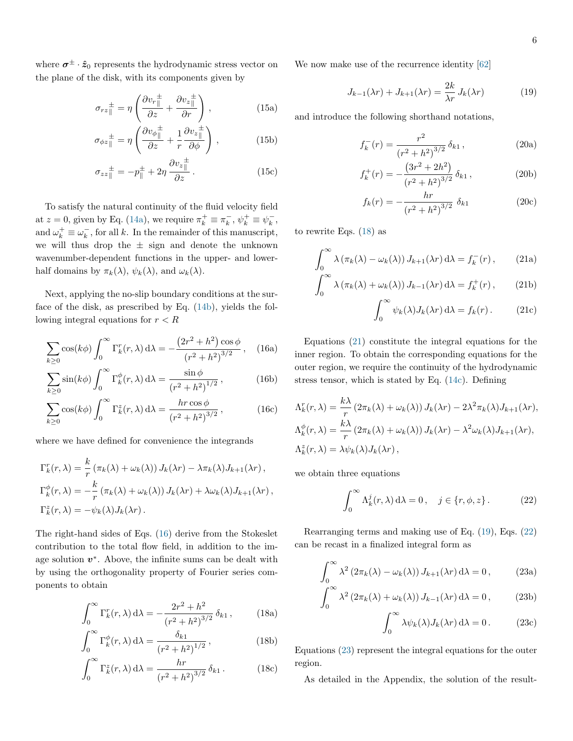where  $\sigma^{\pm} \cdot \hat{z}_0$  represents the hydrodynamic stress vector on the plane of the disk, with its components given by

$$
\sigma_{rz}^{\pm} = \eta \left( \frac{\partial v_r^{\pm}}{\partial z} + \frac{\partial v_z^{\pm}}{\partial r} \right), \qquad (15a)
$$

$$
\sigma_{\phi z}^{\pm} = \eta \left( \frac{\partial v_{\phi}^{\pm}}{\partial z} + \frac{1}{r} \frac{\partial v_{z}^{\pm}}{\partial \phi} \right), \qquad (15b)
$$

$$
\sigma_{zz\parallel}^{\pm} = -p_{\parallel}^{\pm} + 2\eta \frac{\partial v_z_{\parallel}^{\pm}}{\partial z}.
$$
 (15c)

To satisfy the natural continuity of the fluid velocity field at  $z = 0$ , given by Eq. [\(14a\)](#page-4-1), we require  $\pi_k^+ \equiv \pi_k^-$ ,  $\psi_k^+ \equiv \psi_k^-$ , and  $\omega_k^+ \equiv \omega_k^-$ , for all k. In the remainder of this manuscript, we will thus drop the  $\pm$  sign and denote the unknown wavenumber-dependent functions in the upper- and lowerhalf domains by  $\pi_k(\lambda)$ ,  $\psi_k(\lambda)$ , and  $\omega_k(\lambda)$ .

Next, applying the no-slip boundary conditions at the surface of the disk, as prescribed by Eq. [\(14b\)](#page-4-2), yields the following integral equations for  $r < R$ 

$$
\sum_{k\geq 0} \cos(k\phi) \int_0^\infty \Gamma_k^r(r,\lambda) \,d\lambda = -\frac{(2r^2 + h^2)\cos\phi}{(r^2 + h^2)^{3/2}},\quad (16a)
$$

$$
\sum_{k\geq 0} \sin(k\phi) \int_0^\infty \Gamma_k^{\phi}(r,\lambda) d\lambda = \frac{\sin\phi}{\left(r^2 + h^2\right)^{1/2}},\tag{16b}
$$

$$
\sum_{k\geq 0} \cos(k\phi) \int_0^\infty \Gamma_k^z(r,\lambda) \,d\lambda = \frac{hr\cos\phi}{\left(r^2 + h^2\right)^{3/2}},\tag{16c}
$$

where we have defined for convenience the integrands

$$
\Gamma_k^r(r,\lambda) = \frac{k}{r} \left( \pi_k(\lambda) + \omega_k(\lambda) \right) J_k(\lambda r) - \lambda \pi_k(\lambda) J_{k+1}(\lambda r),
$$
  
\n
$$
\Gamma_k^{\phi}(r,\lambda) = -\frac{k}{r} \left( \pi_k(\lambda) + \omega_k(\lambda) \right) J_k(\lambda r) + \lambda \omega_k(\lambda) J_{k+1}(\lambda r),
$$
  
\n
$$
\Gamma_k^z(r,\lambda) = -\psi_k(\lambda) J_k(\lambda r).
$$

The right-hand sides of Eqs. [\(16\)](#page-5-0) derive from the Stokeslet contribution to the total flow field, in addition to the image solution  $v^*$ . Above, the infinite sums can be dealt with by using the orthogonality property of Fourier series components to obtain

<span id="page-5-1"></span>
$$
\int_0^\infty \Gamma_k^r(r,\lambda) \,d\lambda = -\frac{2r^2 + h^2}{\left(r^2 + h^2\right)^{3/2}} \,\delta_{k1} \,,\tag{18a}
$$

$$
\int_0^\infty \Gamma_k^\phi(r,\lambda) \,d\lambda = \frac{\delta_{k1}}{\left(r^2 + h^2\right)^{1/2}},\tag{18b}
$$

$$
\int_0^\infty \Gamma_k^z(r,\lambda) d\lambda = \frac{hr}{(r^2 + h^2)^{3/2}} \delta_{k1}.
$$
 (18c)

We now make use of the recurrence identity [\[62\]](#page-16-8)

<span id="page-5-3"></span>
$$
J_{k-1}(\lambda r) + J_{k+1}(\lambda r) = \frac{2k}{\lambda r} J_k(\lambda r)
$$
 (19)

<span id="page-5-8"></span><span id="page-5-7"></span><span id="page-5-6"></span>and introduce the following shorthand notations,

<span id="page-5-10"></span>
$$
f_k^-(r) = \frac{r^2}{(r^2 + h^2)^{3/2}} \,\delta_{k1} \,, \tag{20a}
$$

$$
f_k^+(r) = -\frac{(3r^2 + 2h^2)}{(r^2 + h^2)^{3/2}} \delta_{k1},
$$
 (20b)

<span id="page-5-11"></span><span id="page-5-9"></span><span id="page-5-2"></span>
$$
f_k(r) = -\frac{hr}{(r^2 + h^2)^{3/2}} \delta_{k1}
$$
 (20c)

to rewrite Eqs. [\(18\)](#page-5-1) as

$$
\int_0^\infty \lambda \left( \pi_k(\lambda) - \omega_k(\lambda) \right) J_{k+1}(\lambda r) \, \mathrm{d}\lambda = f_k^-(r) \,, \tag{21a}
$$

$$
\int_0^\infty \lambda \left( \pi_k(\lambda) + \omega_k(\lambda) \right) J_{k-1}(\lambda r) \, \mathrm{d}\lambda = f_k^+(r) \,, \tag{21b}
$$

$$
\int_0^\infty \psi_k(\lambda) J_k(\lambda r) \, \mathrm{d}\lambda = f_k(r) \,. \tag{21c}
$$

<span id="page-5-0"></span>Equations [\(21\)](#page-5-2) constitute the integral equations for the inner region. To obtain the corresponding equations for the outer region, we require the continuity of the hydrodynamic stress tensor, which is stated by Eq. [\(14c\)](#page-4-3). Defining

$$
\Lambda_k^r(r,\lambda) = \frac{k\lambda}{r} \left(2\pi_k(\lambda) + \omega_k(\lambda)\right) J_k(\lambda r) - 2\lambda^2 \pi_k(\lambda) J_{k+1}(\lambda r),
$$
  

$$
\Lambda_k^{\phi}(r,\lambda) = \frac{k\lambda}{r} \left(2\pi_k(\lambda) + \omega_k(\lambda)\right) J_k(\lambda r) - \lambda^2 \omega_k(\lambda) J_{k+1}(\lambda r),
$$
  

$$
\Lambda_k^z(r,\lambda) = \lambda \psi_k(\lambda) J_k(\lambda r),
$$

we obtain three equations

<span id="page-5-4"></span>
$$
\int_0^\infty \Lambda_k^j(r,\lambda) d\lambda = 0, \quad j \in \{r,\phi,z\}.
$$
 (22)

Rearranging terms and making use of Eq. [\(19\)](#page-5-3), Eqs. [\(22\)](#page-5-4) can be recast in a finalized integral form as

$$
\int_0^\infty \lambda^2 (2\pi_k(\lambda) - \omega_k(\lambda)) J_{k+1}(\lambda r) d\lambda = 0, \qquad (23a)
$$

$$
\int_0^\infty \lambda^2 (2\pi_k(\lambda) + \omega_k(\lambda)) J_{k-1}(\lambda r) d\lambda = 0, \qquad (23b)
$$

<span id="page-5-5"></span>
$$
\int_0^\infty \lambda \psi_k(\lambda) J_k(\lambda r) \, d\lambda = 0. \tag{23c}
$$

Equations [\(23\)](#page-5-5) represent the integral equations for the outer region.

As detailed in the Appendix, the solution of the result-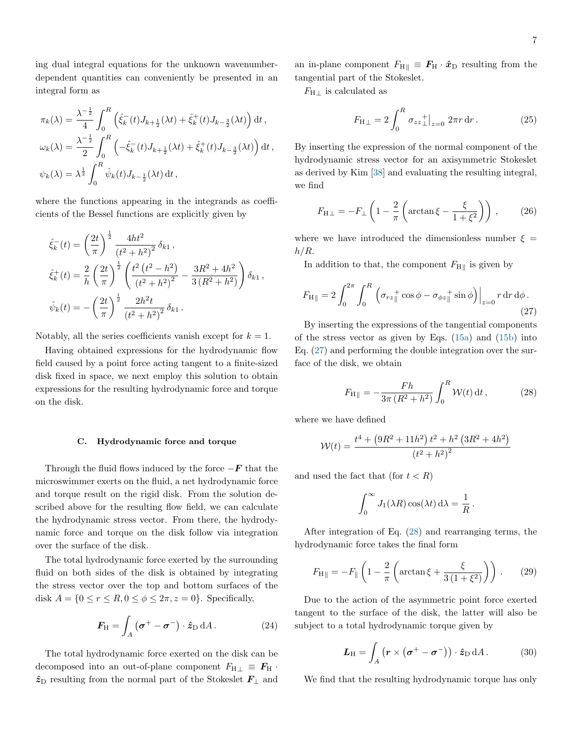ing dual integral equations for the unknown wavenumberdependent quantities can conveniently be presented in an integral form as

$$
\pi_k(\lambda) = \frac{\lambda^{-\frac{1}{2}}}{4} \int_0^R \left( \hat{\xi}_k^-(t) J_{k+\frac{1}{2}}(\lambda t) + \hat{\xi}_k^+(t) J_{k-\frac{3}{2}}(\lambda t) \right) dt,
$$
  

$$
\omega_k(\lambda) = \frac{\lambda^{-\frac{1}{2}}}{2} \int_0^R \left( -\hat{\xi}_k^-(t) J_{k+\frac{1}{2}}(\lambda t) + \hat{\xi}_k^+(t) J_{k-\frac{3}{2}}(\lambda t) \right) dt,
$$
  

$$
\psi_k(\lambda) = \lambda^{\frac{1}{2}} \int_0^R \hat{\psi}_k(t) J_{k-\frac{1}{2}}(\lambda t) dt,
$$

where the functions appearing in the integrands as coefficients of the Bessel functions are explicitly given by

$$
\hat{\xi}_{k}^{-}(t) = \left(\frac{2t}{\pi}\right)^{\frac{1}{2}} \frac{4ht^{2}}{(t^{2} + h^{2})^{2}} \delta_{k1},
$$
\n
$$
\hat{\xi}_{k}^{+}(t) = \frac{2}{h} \left(\frac{2t}{\pi}\right)^{\frac{1}{2}} \left(\frac{t^{2}(t^{2} - h^{2})}{(t^{2} + h^{2})^{2}} - \frac{3R^{2} + 4h^{2}}{3(R^{2} + h^{2})}\right) \delta_{k1},
$$
\n
$$
\hat{\psi}_{k}(t) = -\left(\frac{2t}{\pi}\right)^{\frac{1}{2}} \frac{2h^{2}t}{(t^{2} + h^{2})^{2}} \delta_{k1}.
$$

Notably, all the series coefficients vanish except for  $k = 1$ .

Having obtained expressions for the hydrodynamic flow field caused by a point force acting tangent to a finite-sized disk fixed in space, we next employ this solution to obtain expressions for the resulting hydrodynamic force and torque on the disk.

#### C. Hydrodynamic force and torque

Through the fluid flows induced by the force  $-F$  that the microswimmer exerts on the fluid, a net hydrodynamic force and torque result on the rigid disk. From the solution described above for the resulting flow field, we can calculate the hydrodynamic stress vector. From there, the hydrodynamic force and torque on the disk follow via integration over the surface of the disk.

The total hydrodynamic force exerted by the surrounding fluid on both sides of the disk is obtained by integrating the stress vector over the top and bottom surfaces of the disk  $A = \{0 \le r \le R, 0 \le \phi \le 2\pi, z = 0\}$ . Specifically,

$$
\boldsymbol{F}_{\mathrm{H}} = \int_{A} (\boldsymbol{\sigma}^{+} - \boldsymbol{\sigma}^{-}) \cdot \hat{\boldsymbol{z}}_{\mathrm{D}} \, \mathrm{d}A. \tag{24}
$$

The total hydrodynamic force exerted on the disk can be decomposed into an out-of-plane component  $F_{H\perp} \equiv F_H$ .  $\hat{z}_D$  resulting from the normal part of the Stokeslet  $F_\perp$  and an in-plane component  $F_{\text{H} \parallel} \equiv F_{\text{H}} \cdot \hat{x}_{\text{D}}$  resulting from the tangential part of the Stokeslet.

 $F_{\text{H} \perp}$  is calculated as

$$
F_{\rm H\perp} = 2 \int_0^R \sigma_{zz\perp}^{\dagger} \Big|_{z=0} 2\pi r \, dr \,. \tag{25}
$$

By inserting the expression of the normal component of the hydrodynamic stress vector for an axisymmetric Stokeslet as derived by Kim [\[38\]](#page-15-18) and evaluating the resulting integral, we find

$$
F_{\rm H\perp} = -F_{\perp} \left( 1 - \frac{2}{\pi} \left( \arctan \xi - \frac{\xi}{1 + \xi^2} \right) \right), \qquad (26)
$$

where we have introduced the dimensionless number  $\xi =$  $h/R$ .

In addition to that, the component  $F_{\text{H}_{\parallel}}$  is given by

<span id="page-6-0"></span>
$$
F_{\rm H\parallel} = 2 \int_0^{2\pi} \int_0^R \left( \sigma_{rz} + \cos \phi - \sigma_{\phi z} + \sin \phi \right) \Big|_{z=0} r \, dr \, d\phi \,. \tag{27}
$$

By inserting the expressions of the tangential components of the stress vector as given by Eqs. [\(15a\)](#page-5-6) and [\(15b\)](#page-5-7) into Eq. [\(27\)](#page-6-0) and performing the double integration over the surface of the disk, we obtain

<span id="page-6-1"></span>
$$
F_{\rm H\parallel} = -\frac{Fh}{3\pi (R^2 + h^2)} \int_0^R \mathcal{W}(t) \, \mathrm{d}t \,, \tag{28}
$$

where we have defined

$$
W(t) = \frac{t^4 + (9R^2 + 11h^2) t^2 + h^2 (3R^2 + 4h^2)}{(t^2 + h^2)^2}
$$

and used the fact that (for  $t < R$ )

$$
\int_0^\infty J_1(\lambda R) \cos(\lambda t) \, \mathrm{d}\lambda = \frac{1}{R} \, .
$$

After integration of Eq. [\(28\)](#page-6-1) and rearranging terms, the hydrodynamic force takes the final form

$$
F_{\rm H} = -F_{\parallel} \left( 1 - \frac{2}{\pi} \left( \arctan \xi + \frac{\xi}{3 \left( 1 + \xi^2 \right)} \right) \right) \,. \tag{29}
$$

Due to the action of the asymmetric point force exerted tangent to the surface of the disk, the latter will also be subject to a total hydrodynamic torque given by

$$
\boldsymbol{L}_{\mathrm{H}} = \int_{A} (\boldsymbol{r} \times (\boldsymbol{\sigma}^{+} - \boldsymbol{\sigma}^{-})) \cdot \hat{\boldsymbol{z}}_{\mathrm{D}} \, \mathrm{d}A. \tag{30}
$$

We find that the resulting hydrodynamic torque has only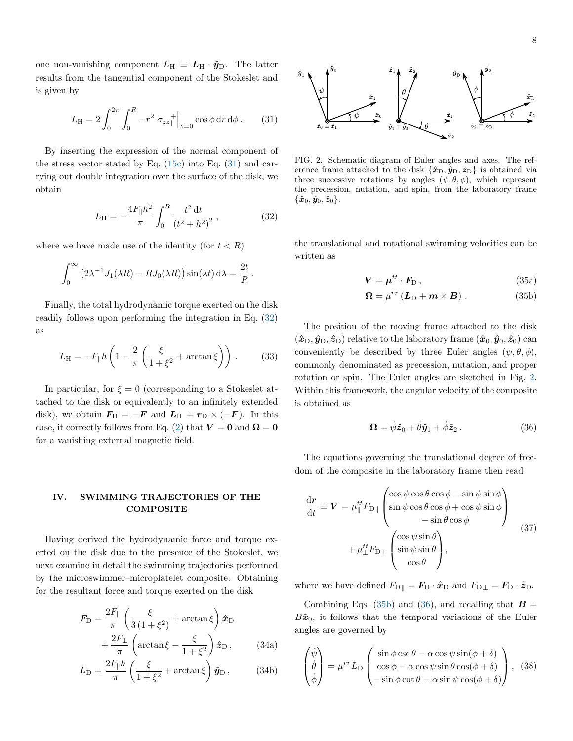one non-vanishing component  $L_{\rm H} \equiv L_{\rm H} \cdot \hat{\mathbf{y}}_{\rm D}$ . The latter results from the tangential component of the Stokeslet and is given by

<span id="page-7-1"></span>
$$
L_{\rm H} = 2 \int_0^{2\pi} \int_0^R -r^2 \sigma_{zz} + \Big|_{z=0} \cos \phi \, dr \, d\phi \,. \tag{31}
$$

By inserting the expression of the normal component of the stress vector stated by Eq. [\(15c\)](#page-5-8) into Eq. [\(31\)](#page-7-1) and carrying out double integration over the surface of the disk, we obtain

<span id="page-7-2"></span>
$$
L_{\rm H} = -\frac{4F_{\parallel}h^2}{\pi} \int_0^R \frac{t^2 dt}{(t^2 + h^2)^2},
$$
 (32)

where we have made use of the identity (for  $t < R$ )

$$
\int_0^\infty \left(2\lambda^{-1} J_1(\lambda R) - R J_0(\lambda R)\right) \sin(\lambda t) \,d\lambda = \frac{2t}{R}.
$$

Finally, the total hydrodynamic torque exerted on the disk readily follows upon performing the integration in Eq. [\(32\)](#page-7-2) as

$$
L_{\rm H} = -F_{\parallel}h\left(1 - \frac{2}{\pi}\left(\frac{\xi}{1 + \xi^2} + \arctan\xi\right)\right). \tag{33}
$$

In particular, for  $\xi = 0$  (corresponding to a Stokeslet attached to the disk or equivalently to an infinitely extended disk), we obtain  $\mathbf{F}_{\mathrm{H}} = -\mathbf{F}$  and  $\mathbf{L}_{\mathrm{H}} = \mathbf{r}_{\mathrm{D}} \times (-\mathbf{F})$ . In this case, it correctly follows from Eq. [\(2\)](#page-3-1) that  $V = 0$  and  $\Omega = 0$ for a vanishing external magnetic field.

## <span id="page-7-0"></span>IV. SWIMMING TRAJECTORIES OF THE **COMPOSITE**

Having derived the hydrodynamic force and torque exerted on the disk due to the presence of the Stokeslet, we next examine in detail the swimming trajectories performed by the microswimmer–microplatelet composite. Obtaining for the resultant force and torque exerted on the disk

$$
\mathbf{F}_{\rm D} = \frac{2F_{\parallel}}{\pi} \left( \frac{\xi}{3(1+\xi^2)} + \arctan \xi \right) \hat{\mathbf{x}}_{\rm D} + \frac{2F_{\perp}}{\pi} \left( \arctan \xi - \frac{\xi}{1+\xi^2} \right) \hat{\mathbf{z}}_{\rm D} ,\qquad (34a)
$$

$$
\mathbf{L}_{\rm D} = \frac{2F_{\parallel}h}{\pi} \left( \frac{\xi}{1+\xi^2} + \arctan{\xi} \right) \hat{\mathbf{y}}_{\rm D} \,, \tag{34b}
$$



<span id="page-7-3"></span>FIG. 2. Schematic diagram of Euler angles and axes. The reference frame attached to the disk  $\{\hat{x}_D, \hat{y}_D, \hat{z}_D\}$  is obtained via three successive rotations by angles  $(\psi, \theta, \phi)$ , which represent the precession, nutation, and spin, from the laboratory frame  $\{\hat{\bm{x}}_0, \hat{\bm{y}}_0, \hat{\bm{z}}_0\}.$ 

the translational and rotational swimming velocities can be written as

$$
\mathbf{V} = \boldsymbol{\mu}^{tt} \cdot \mathbf{F}_{\text{D}} \,, \tag{35a}
$$

<span id="page-7-4"></span>
$$
\mathbf{\Omega} = \mu^{rr} \left( \mathbf{L}_{\mathrm{D}} + \mathbf{m} \times \mathbf{B} \right) . \tag{35b}
$$

The position of the moving frame attached to the disk  $(\hat{x}_{D}, \hat{y}_{D}, \hat{z}_{D})$  relative to the laboratory frame  $(\hat{x}_{0}, \hat{y}_{0}, \hat{z}_{0})$  can conveniently be described by three Euler angles  $(\psi, \theta, \phi)$ , commonly denominated as precession, nutation, and proper rotation or spin. The Euler angles are sketched in Fig. [2.](#page-7-3) Within this framework, the angular velocity of the composite is obtained as

<span id="page-7-5"></span>
$$
\Omega = \dot{\psi}\hat{z}_0 + \dot{\theta}\hat{y}_1 + \dot{\phi}\hat{z}_2. \tag{36}
$$

The equations governing the translational degree of freedom of the composite in the laboratory frame then read

$$
\frac{d\mathbf{r}}{dt} \equiv \mathbf{V} = \mu_{\parallel}^{tt} F_{\text{D}\parallel} \begin{pmatrix} \cos\psi\cos\theta\cos\phi - \sin\psi\sin\phi \\ \sin\psi\cos\theta\cos\phi + \cos\psi\sin\phi \\ -\sin\theta\cos\phi \end{pmatrix} + \mu_{\perp}^{tt} F_{\text{D}\perp} \begin{pmatrix} \cos\psi\sin\theta \\ \sin\psi\sin\theta \\ \cos\theta \end{pmatrix},
$$
\n(37)

where we have defined  $F_{\text{D}\parallel} = \mathbf{F}_{\text{D}} \cdot \hat{\mathbf{x}}_{\text{D}}$  and  $F_{\text{D}\perp} = \mathbf{F}_{\text{D}} \cdot \hat{\mathbf{z}}_{\text{D}}$ .

Combining Eqs. [\(35b\)](#page-7-4) and [\(36\)](#page-7-5), and recalling that  $\boldsymbol{B} =$  $B\hat{\boldsymbol{x}}_0$ , it follows that the temporal variations of the Euler angles are governed by

$$
\begin{pmatrix} \dot{\psi} \\ \dot{\theta} \\ \dot{\phi} \end{pmatrix} = \mu^{rr} L_{\text{D}} \begin{pmatrix} \sin \phi \csc \theta - \alpha \cos \psi \sin(\phi + \delta) \\ \cos \phi - \alpha \cos \psi \sin \theta \cos(\phi + \delta) \\ -\sin \phi \cot \theta - \alpha \sin \psi \cos(\phi + \delta) \end{pmatrix}, (38)
$$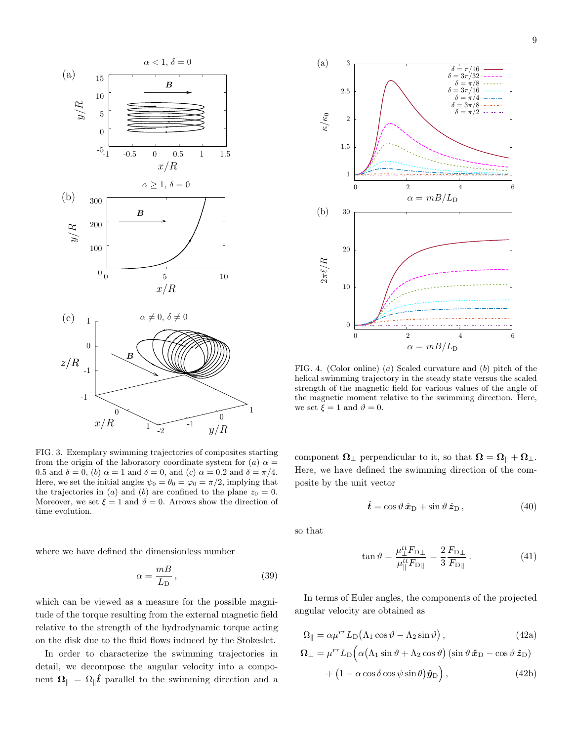

<span id="page-8-0"></span>FIG. 3. Exemplary swimming trajectories of composites starting from the origin of the laboratory coordinate system for (a)  $\alpha =$ 0.5 and  $\delta = 0$ , (b)  $\alpha = 1$  and  $\delta = 0$ , and (c)  $\alpha = 0.2$  and  $\delta = \pi/4$ . Here, we set the initial angles  $\psi_0 = \theta_0 = \varphi_0 = \pi/2$ , implying that the trajectories in (a) and (b) are confined to the plane  $z_0 = 0$ . Moreover, we set  $\xi = 1$  and  $\vartheta = 0$ . Arrows show the direction of time evolution.

where we have defined the dimensionless number

$$
\alpha = \frac{m}{L_D} \,,\tag{39}
$$

which can be viewed as a measure for the possible magnitude of the torque resulting from the external magnetic field relative to the strength of the hydrodynamic torque acting on the disk due to the fluid flows induced by the Stokeslet.

In order to characterize the swimming trajectories in detail, we decompose the angular velocity into a component  $\Omega_{\parallel} = \Omega_{\parallel} \hat{t}$  parallel to the swimming direction and a



<span id="page-8-1"></span>FIG. 4. (Color online) (a) Scaled curvature and (b) pitch of the helical swimming trajectory in the steady state versus the scaled strength of the magnetic field for various values of the angle of the magnetic moment relative to the swimming direction. Here, we set  $\xi = 1$  and  $\vartheta = 0$ .

component  $\Omega_{\perp}$  perpendicular to it, so that  $\Omega = \Omega_{\parallel} + \Omega_{\perp}$ . Here, we have defined the swimming direction of the composite by the unit vector

$$
\hat{\boldsymbol{t}} = \cos\vartheta \,\hat{\boldsymbol{x}}_{\mathrm{D}} + \sin\vartheta \,\hat{\boldsymbol{z}}_{\mathrm{D}}\,,\tag{40}
$$

so that

$$
\tan \vartheta = \frac{\mu_{\perp}^{tt} F_{\rm D\perp}}{\mu_{\parallel}^{tt} F_{\rm D\parallel}} = \frac{2}{3} \frac{F_{\rm D\perp}}{F_{\rm D\parallel}}.
$$
 (41)

In terms of Euler angles, the components of the projected angular velocity are obtained as

$$
\Omega_{\parallel} = \alpha \mu^{rr} L_{\text{D}} (\Lambda_1 \cos \vartheta - \Lambda_2 \sin \vartheta) , \qquad (42a)
$$

$$
\Omega_{\perp} = \mu^{rr} L_{\text{D}} \Big( \alpha \big( \Lambda_1 \sin \vartheta + \Lambda_2 \cos \vartheta \big) \left( \sin \vartheta \, \hat{\mathbf{x}}_{\text{D}} - \cos \vartheta \, \hat{\mathbf{z}}_{\text{D}} \right) \n+ \big( 1 - \alpha \cos \delta \cos \psi \sin \theta \big) \hat{\mathbf{y}}_{\text{D}} \Big), \tag{42b}
$$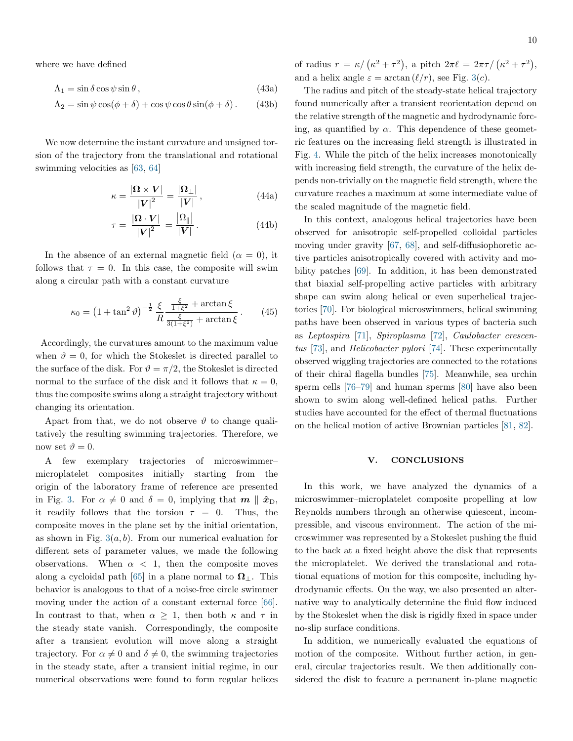where we have defined

$$
\Lambda_1 = \sin \delta \cos \psi \sin \theta, \qquad (43a)
$$

$$
\Lambda_2 = \sin \psi \cos(\phi + \delta) + \cos \psi \cos \theta \sin(\phi + \delta). \tag{43b}
$$

We now determine the instant curvature and unsigned torsion of the trajectory from the translational and rotational swimming velocities as [\[63,](#page-16-9) [64\]](#page-16-10)

$$
\kappa = \frac{|\Omega \times V|}{|V|^2} = \frac{|\Omega_{\perp}|}{|V|},\tag{44a}
$$

$$
\tau = \frac{|\mathbf{\Omega} \cdot \mathbf{V}|}{|\mathbf{V}|^2} = \frac{|\Omega_{\parallel}|}{|\mathbf{V}|}. \tag{44b}
$$

In the absence of an external magnetic field  $(\alpha = 0)$ , it follows that  $\tau = 0$ . In this case, the composite will swim along a circular path with a constant curvature

$$
\kappa_0 = \left(1 + \tan^2 \vartheta\right)^{-\frac{1}{2}} \frac{\xi}{R} \frac{\frac{\xi}{1 + \xi^2} + \arctan \xi}{\frac{\xi}{3(1 + \xi^2)} + \arctan \xi}.
$$
 (45)

Accordingly, the curvatures amount to the maximum value when  $\vartheta = 0$ , for which the Stokeslet is directed parallel to the surface of the disk. For  $\vartheta = \pi/2$ , the Stokeslet is directed normal to the surface of the disk and it follows that  $\kappa = 0$ , thus the composite swims along a straight trajectory without changing its orientation.

Apart from that, we do not observe  $\vartheta$  to change qualitatively the resulting swimming trajectories. Therefore, we now set  $\vartheta = 0$ .

A few exemplary trajectories of microswimmer– microplatelet composites initially starting from the origin of the laboratory frame of reference are presented in Fig. [3.](#page-8-0) For  $\alpha \neq 0$  and  $\delta = 0$ , implying that  $m \parallel \hat{x}_{D}$ , it readily follows that the torsion  $\tau = 0$ . Thus, the composite moves in the plane set by the initial orientation, as shown in Fig.  $3(a, b)$  $3(a, b)$ . From our numerical evaluation for different sets of parameter values, we made the following observations. When  $\alpha$  < 1, then the composite moves along a cycloidal path [\[65\]](#page-16-11) in a plane normal to  $\Omega_{\perp}$ . This behavior is analogous to that of a noise-free circle swimmer moving under the action of a constant external force [\[66\]](#page-16-12). In contrast to that, when  $\alpha \geq 1$ , then both  $\kappa$  and  $\tau$  in the steady state vanish. Correspondingly, the composite after a transient evolution will move along a straight trajectory. For  $\alpha \neq 0$  and  $\delta \neq 0$ , the swimming trajectories in the steady state, after a transient initial regime, in our numerical observations were found to form regular helices

The radius and pitch of the steady-state helical trajectory found numerically after a transient reorientation depend on the relative strength of the magnetic and hydrodynamic forcing, as quantified by  $\alpha$ . This dependence of these geometric features on the increasing field strength is illustrated in Fig. [4.](#page-8-1) While the pitch of the helix increases monotonically with increasing field strength, the curvature of the helix depends non-trivially on the magnetic field strength, where the curvature reaches a maximum at some intermediate value of the scaled magnitude of the magnetic field.

In this context, analogous helical trajectories have been observed for anisotropic self-propelled colloidal particles moving under gravity [\[67,](#page-16-13) [68\]](#page-16-14), and self-diffusiophoretic active particles anisotropically covered with activity and mobility patches [\[69\]](#page-16-15). In addition, it has been demonstrated that biaxial self-propelling active particles with arbitrary shape can swim along helical or even superhelical trajectories [\[70\]](#page-16-16). For biological microswimmers, helical swimming paths have been observed in various types of bacteria such as Leptospira [\[71\]](#page-16-17), Spiroplasma [\[72\]](#page-16-18), Caulobacter crescentus [\[73\]](#page-16-19), and Helicobacter pylori [\[74\]](#page-16-20). These experimentally observed wiggling trajectories are connected to the rotations of their chiral flagella bundles [\[75\]](#page-16-21). Meanwhile, sea urchin sperm cells [\[76](#page-16-22)[–79\]](#page-16-23) and human sperms [\[80\]](#page-16-24) have also been shown to swim along well-defined helical paths. Further studies have accounted for the effect of thermal fluctuations on the helical motion of active Brownian particles [\[81,](#page-17-0) [82\]](#page-17-1).

### <span id="page-9-0"></span>V. CONCLUSIONS

In this work, we have analyzed the dynamics of a microswimmer–microplatelet composite propelling at low Reynolds numbers through an otherwise quiescent, incompressible, and viscous environment. The action of the microswimmer was represented by a Stokeslet pushing the fluid to the back at a fixed height above the disk that represents the microplatelet. We derived the translational and rotational equations of motion for this composite, including hydrodynamic effects. On the way, we also presented an alternative way to analytically determine the fluid flow induced by the Stokeslet when the disk is rigidly fixed in space under no-slip surface conditions.

In addition, we numerically evaluated the equations of motion of the composite. Without further action, in general, circular trajectories result. We then additionally considered the disk to feature a permanent in-plane magnetic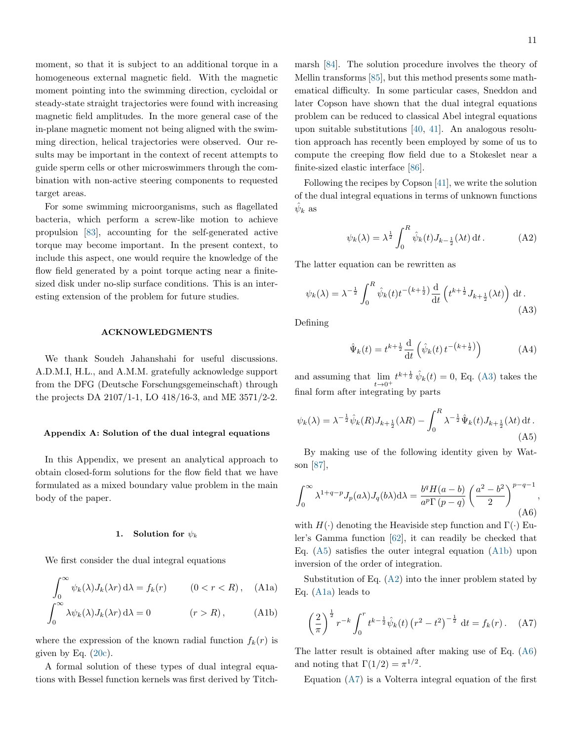moment, so that it is subject to an additional torque in a homogeneous external magnetic field. With the magnetic moment pointing into the swimming direction, cycloidal or steady-state straight trajectories were found with increasing magnetic field amplitudes. In the more general case of the in-plane magnetic moment not being aligned with the swimming direction, helical trajectories were observed. Our results may be important in the context of recent attempts to guide sperm cells or other microswimmers through the combination with non-active steering components to requested target areas.

For some swimming microorganisms, such as flagellated bacteria, which perform a screw-like motion to achieve propulsion [\[83\]](#page-17-2), accounting for the self-generated active torque may become important. In the present context, to include this aspect, one would require the knowledge of the flow field generated by a point torque acting near a finitesized disk under no-slip surface conditions. This is an interesting extension of the problem for future studies.

#### ACKNOWLEDGMENTS

We thank Soudeh Jahanshahi for useful discussions. A.D.M.I, H.L., and A.M.M. gratefully acknowledge support from the DFG (Deutsche Forschungsgemeinschaft) through the projects DA 2107/1-1, LO 418/16-3, and ME 3571/2-2.

#### Appendix A: Solution of the dual integral equations

In this Appendix, we present an analytical approach to obtain closed-form solutions for the flow field that we have formulated as a mixed boundary value problem in the main body of the paper.

### 1. Solution for  $\psi_k$

We first consider the dual integral equations

$$
\int_0^\infty \psi_k(\lambda) J_k(\lambda r) d\lambda = f_k(r) \qquad (0 < r < R), \quad \text{(A1a)}
$$

$$
\int_0^\infty \lambda \psi_k(\lambda) J_k(\lambda r) \, \mathrm{d}\lambda = 0 \qquad (r > R), \qquad \text{(A1b)}
$$

where the expression of the known radial function  $f_k(r)$  is given by Eq.  $(20c)$ .

A formal solution of these types of dual integral equations with Bessel function kernels was first derived by Titchmarsh [\[84\]](#page-17-3). The solution procedure involves the theory of Mellin transforms [\[85\]](#page-17-4), but this method presents some mathematical difficulty. In some particular cases, Sneddon and later Copson have shown that the dual integral equations problem can be reduced to classical Abel integral equations upon suitable substitutions [\[40,](#page-15-20) [41\]](#page-15-21). An analogous resolution approach has recently been employed by some of us to compute the creeping flow field due to a Stokeslet near a finite-sized elastic interface [\[86\]](#page-17-5).

Following the recipes by Copson [\[41\]](#page-15-21), we write the solution of the dual integral equations in terms of unknown functions  $\hat{\psi}_k$  as

<span id="page-10-3"></span>
$$
\psi_k(\lambda) = \lambda^{\frac{1}{2}} \int_0^R \hat{\psi}_k(t) J_{k-\frac{1}{2}}(\lambda t) dt.
$$
 (A2)

The latter equation can be rewritten as

<span id="page-10-0"></span>
$$
\psi_k(\lambda) = \lambda^{-\frac{1}{2}} \int_0^R \hat{\psi}_k(t) t^{-\left(k + \frac{1}{2}\right)} \frac{\mathrm{d}}{\mathrm{d}t} \left( t^{k + \frac{1}{2}} J_{k + \frac{1}{2}}(\lambda t) \right) \mathrm{d}t \,. \tag{A3}
$$

Defining

$$
\hat{\Psi}_k(t) = t^{k + \frac{1}{2}} \frac{\mathrm{d}}{\mathrm{d}t} \left( \hat{\psi}_k(t) t^{-\left(k + \frac{1}{2}\right)} \right) \tag{A4}
$$

and assuming that  $\lim_{t\to 0^+} t^{k+\frac{1}{2}} \hat{\psi}_k(t) = 0$ , Eq. [\(A3\)](#page-10-0) takes the final form after integrating by parts

<span id="page-10-1"></span>
$$
\psi_k(\lambda) = \lambda^{-\frac{1}{2}} \hat{\psi}_k(R) J_{k + \frac{1}{2}}(\lambda R) - \int_0^R \lambda^{-\frac{1}{2}} \hat{\Psi}_k(t) J_{k + \frac{1}{2}}(\lambda t) dt.
$$
\n(A5)

By making use of the following identity given by Watson [\[87\]](#page-17-6),

<span id="page-10-5"></span>
$$
\int_0^\infty \lambda^{1+q-p} J_p(a\lambda) J_q(b\lambda) d\lambda = \frac{b^q H(a-b)}{a^p \Gamma(p-q)} \left(\frac{a^2-b^2}{2}\right)^{p-q-1},
$$
\n(A6)

with  $H(\cdot)$  denoting the Heaviside step function and  $\Gamma(\cdot)$  Euler's Gamma function [\[62\]](#page-16-8), it can readily be checked that Eq. [\(A5\)](#page-10-1) satisfies the outer integral equation [\(A1b\)](#page-10-2) upon inversion of the order of integration.

<span id="page-10-4"></span><span id="page-10-2"></span>Substitution of Eq. [\(A2\)](#page-10-3) into the inner problem stated by Eq. [\(A1a\)](#page-10-4) leads to

<span id="page-10-6"></span>
$$
\left(\frac{2}{\pi}\right)^{\frac{1}{2}} r^{-k} \int_0^r t^{k-\frac{1}{2}} \hat{\psi}_k(t) \left(r^2 - t^2\right)^{-\frac{1}{2}} dt = f_k(r). \quad (A7)
$$

The latter result is obtained after making use of Eq. [\(A6\)](#page-10-5) and noting that  $\Gamma(1/2) = \pi^{1/2}$ .

Equation [\(A7\)](#page-10-6) is a Volterra integral equation of the first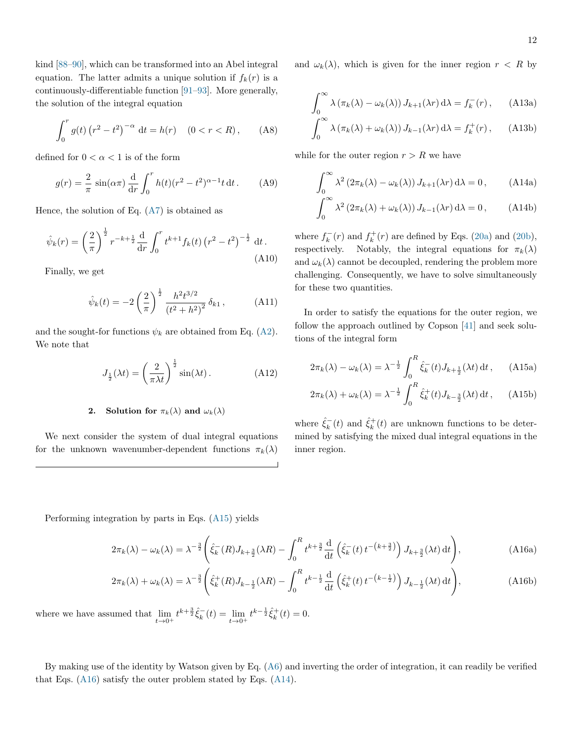kind [\[88](#page-17-7)[–90\]](#page-17-8), which can be transformed into an Abel integral equation. The latter admits a unique solution if  $f_k(r)$  is a continuously-differentiable function [\[91–](#page-17-9)[93\]](#page-17-10). More generally, the solution of the integral equation

$$
\int_0^r g(t) (r^2 - t^2)^{-\alpha} dt = h(r) \quad (0 < r < R), \qquad (A8)
$$

defined for  $0<\alpha<1$  is of the form

$$
g(r) = \frac{2}{\pi} \sin(\alpha \pi) \frac{d}{dr} \int_0^r h(t) (r^2 - t^2)^{\alpha - 1} t dt.
$$
 (A9)

Hence, the solution of Eq.  $(A7)$  is obtained as

$$
\hat{\psi}_k(r) = \left(\frac{2}{\pi}\right)^{\frac{1}{2}} r^{-k+\frac{1}{2}} \frac{d}{dr} \int_0^r t^{k+1} f_k(t) \left(r^2 - t^2\right)^{-\frac{1}{2}} dt.
$$
\n(A10)

Finally, we get

$$
\hat{\psi}_k(t) = -2\left(\frac{2}{\pi}\right)^{\frac{1}{2}} \frac{h^2 t^{3/2}}{\left(t^2 + h^2\right)^2} \delta_{k1},\tag{A11}
$$

and the sought-for functions  $\psi_k$  are obtained from Eq. [\(A2\)](#page-10-3). We note that

$$
J_{\frac{1}{2}}(\lambda t) = \left(\frac{2}{\pi \lambda t}\right)^{\frac{1}{2}} \sin(\lambda t). \tag{A12}
$$

# 2. Solution for  $\pi_k(\lambda)$  and  $\omega_k(\lambda)$

We next consider the system of dual integral equations for the unknown wavenumber-dependent functions  $\pi_k(\lambda)$  <span id="page-11-3"></span>and  $\omega_k(\lambda)$ , which is given for the inner region  $r < R$  by

$$
\int_0^\infty \lambda (\pi_k(\lambda) - \omega_k(\lambda)) J_{k+1}(\lambda r) d\lambda = f_k^-(r), \quad \text{(A13a)}
$$

$$
\int_0^\infty \lambda (\pi_k(\lambda) + \omega_k(\lambda)) J_{k-1}(\lambda r) d\lambda = f_k^+(r), \quad \text{(A13b)}
$$

while for the outer region  $r > R$  we have

<span id="page-11-2"></span>
$$
\int_0^\infty \lambda^2 (2\pi_k(\lambda) - \omega_k(\lambda)) J_{k+1}(\lambda r) d\lambda = 0,
$$
 (A14a)

$$
\int_0^\infty \lambda^2 (2\pi_k(\lambda) + \omega_k(\lambda)) J_{k-1}(\lambda r) d\lambda = 0,
$$
 (A14b)

where  $f_k^-(r)$  and  $f_k^+(r)$  are defined by Eqs. [\(20a\)](#page-5-10) and [\(20b\)](#page-5-11), respectively. Notably, the integral equations for  $\pi_k(\lambda)$ and  $\omega_k(\lambda)$  cannot be decoupled, rendering the problem more challenging. Consequently, we have to solve simultaneously for these two quantities.

In order to satisfy the equations for the outer region, we follow the approach outlined by Copson [\[41\]](#page-15-21) and seek solutions of the integral form

<span id="page-11-0"></span>
$$
2\pi_k(\lambda) - \omega_k(\lambda) = \lambda^{-\frac{1}{2}} \int_0^R \hat{\xi}_k^-(t) J_{k+\frac{1}{2}}(\lambda t) dt, \quad \text{(A15a)}
$$

$$
2\pi_k(\lambda) + \omega_k(\lambda) = \lambda^{-\frac{1}{2}} \int_0^R \hat{\xi}_k^+(t) J_{k-\frac{3}{2}}(\lambda t) dt, \quad \text{(A15b)}
$$

<span id="page-11-1"></span>where  $\hat{\xi}_k^-(t)$  and  $\hat{\xi}_k^+(t)$  are unknown functions to be determined by satisfying the mixed dual integral equations in the inner region.

Performing integration by parts in Eqs. [\(A15\)](#page-11-0) yields

$$
2\pi_k(\lambda) - \omega_k(\lambda) = \lambda^{-\frac{3}{2}} \left( \hat{\xi}_k^-(R) J_{k+\frac{3}{2}}(\lambda R) - \int_0^R t^{k+\frac{3}{2}} \frac{d}{dt} \left( \hat{\xi}_k^-(t) t^{-\left(k+\frac{3}{2}\right)} \right) J_{k+\frac{3}{2}}(\lambda t) dt \right),\tag{A16a}
$$

$$
2\pi_k(\lambda) + \omega_k(\lambda) = \lambda^{-\frac{3}{2}} \left( \hat{\xi}_k^+(R) J_{k-\frac{1}{2}}(\lambda R) - \int_0^R t^{k-\frac{1}{2}} \frac{d}{dt} \left( \hat{\xi}_k^+(t) t^{-\left(k-\frac{1}{2}\right)} \right) J_{k-\frac{1}{2}}(\lambda t) dt \right),\tag{A16b}
$$

where we have assumed that  $\lim_{t \to 0^+} t^{k + \frac{3}{2}} \hat{\xi}_k^-(t) = \lim_{t \to 0^+} t^{k - \frac{1}{2}} \hat{\xi}_k^+(t) = 0.$ 

By making use of the identity by Watson given by Eq. [\(A6\)](#page-10-5) and inverting the order of integration, it can readily be verified that Eqs. [\(A16\)](#page-11-1) satisfy the outer problem stated by Eqs. [\(A14\)](#page-11-2).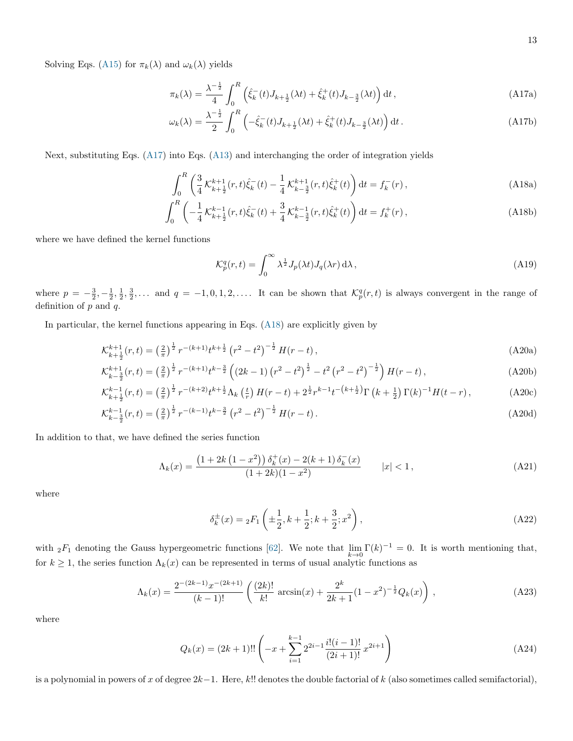Solving Eqs. [\(A15\)](#page-11-0) for  $\pi_k(\lambda)$  and  $\omega_k(\lambda)$  yields

<span id="page-12-0"></span>
$$
\pi_k(\lambda) = \frac{\lambda^{-\frac{1}{2}}}{4} \int_0^R \left( \hat{\xi}_k^-(t) J_{k+\frac{1}{2}}(\lambda t) + \hat{\xi}_k^+(t) J_{k-\frac{3}{2}}(\lambda t) \right) dt,
$$
\n(A17a)

$$
\omega_k(\lambda) = \frac{\lambda^{-\frac{1}{2}}}{2} \int_0^R \left( -\hat{\xi}_k^-(t) J_{k+\frac{1}{2}}(\lambda t) + \hat{\xi}_k^+(t) J_{k-\frac{3}{2}}(\lambda t) \right) dt \,. \tag{A17b}
$$

Next, substituting Eqs. [\(A17\)](#page-12-0) into Eqs. [\(A13\)](#page-11-3) and interchanging the order of integration yields

$$
\int_0^R \left( \frac{3}{4} \mathcal{K}_{k+\frac{1}{2}}^{k+1}(r,t) \hat{\xi}_k^-(t) - \frac{1}{4} \mathcal{K}_{k-\frac{3}{2}}^{k+1}(r,t) \hat{\xi}_k^+(t) \right) dt = f_k^-(r) \,, \tag{A18a}
$$

$$
\int_0^R \left( -\frac{1}{4} \mathcal{K}_{k+\frac{1}{2}}^{k-1}(r,t) \hat{\xi}_k^-(t) + \frac{3}{4} \mathcal{K}_{k-\frac{3}{2}}^{k-1}(r,t) \hat{\xi}_k^+(t) \right) dt = f_k^+(r) ,
$$
\n(A18b)

where we have defined the kernel functions

<span id="page-12-2"></span><span id="page-12-1"></span>
$$
\mathcal{K}_p^q(r,t) = \int_0^\infty \lambda^{\frac{1}{2}} J_p(\lambda t) J_q(\lambda r) \,d\lambda\,,\tag{A19}
$$

where  $p = -\frac{3}{2}, -\frac{1}{2}, \frac{1}{2}, \frac{3}{2}, \ldots$  and  $q = -1, 0, 1, 2, \ldots$  It can be shown that  $\mathcal{K}_{p}^{q}(r, t)$  is always convergent in the range of definition of  $p$  and  $q$ .

In particular, the kernel functions appearing in Eqs. [\(A18\)](#page-12-1) are explicitly given by

$$
\mathcal{K}_{k+\frac{1}{2}}^{k+1}(r,t) = \left(\frac{2}{\pi}\right)^{\frac{1}{2}} r^{-(k+1)} t^{k+\frac{1}{2}} \left(r^2 - t^2\right)^{-\frac{1}{2}} H(r-t),\tag{A20a}
$$

$$
\mathcal{K}_{k-\frac{3}{2}}^{k+1}(r,t) = \left(\frac{2}{\pi}\right)^{\frac{1}{2}} r^{-(k+1)} t^{k-\frac{3}{2}} \left( \left(2k-1\right) \left(r^2-t^2\right)^{\frac{1}{2}} - t^2 \left(r^2-t^2\right)^{-\frac{1}{2}} \right) H(r-t) \,,\tag{A20b}
$$

$$
\mathcal{K}_{k+\frac{1}{2}}^{k-1}(r,t) = \left(\frac{2}{\pi}\right)^{\frac{1}{2}} r^{-(k+2)} t^{k+\frac{1}{2}} \Lambda_k \left(\frac{t}{r}\right) H(r-t) + 2^{\frac{1}{2}} r^{k-1} t^{-\left(k+\frac{1}{2}\right)} \Gamma\left(k+\frac{1}{2}\right) \Gamma(k)^{-1} H(t-r),\tag{A20c}
$$

$$
\mathcal{K}_{k-\frac{3}{2}}^{k-1}(r,t) = \left(\frac{2}{\pi}\right)^{\frac{1}{2}} r^{-(k-1)} t^{k-\frac{3}{2}} \left(r^2 - t^2\right)^{-\frac{1}{2}} H(r-t).
$$
\n(A20d)

In addition to that, we have defined the series function

$$
\Lambda_k(x) = \frac{\left(1 + 2k\left(1 - x^2\right)\right)\delta_k^+(x) - 2(k+1)\delta_k^-(x)}{(1+2k)(1-x^2)} \qquad |x| < 1,\tag{A21}
$$

where

$$
\delta_k^{\pm}(x) = {}_2F_1\left(\pm \frac{1}{2}, k + \frac{1}{2}; k + \frac{3}{2}; x^2\right),\tag{A22}
$$

with  ${}_2F_1$  denoting the Gauss hypergeometric functions [\[62\]](#page-16-8). We note that  $\lim_{k\to 0} \Gamma(k)^{-1} = 0$ . It is worth mentioning that, for  $k \ge 1$ , the series function  $\Lambda_k(x)$  can be represented in terms of usual analytic functions as

$$
\Lambda_k(x) = \frac{2^{-(2k-1)}x^{-(2k+1)}}{(k-1)!} \left( \frac{(2k)!}{k!} \arcsin(x) + \frac{2^k}{2k+1} (1-x^2)^{-\frac{1}{2}} Q_k(x) \right),\tag{A23}
$$

where

$$
Q_k(x) = (2k+1)!! \left( -x + \sum_{i=1}^{k-1} 2^{2i-1} \frac{i!(i-1)!}{(2i+1)!} x^{2i+1} \right)
$$
 (A24)

is a polynomial in powers of x of degree  $2k-1$ . Here, k!! denotes the double factorial of k (also sometimes called semifactorial),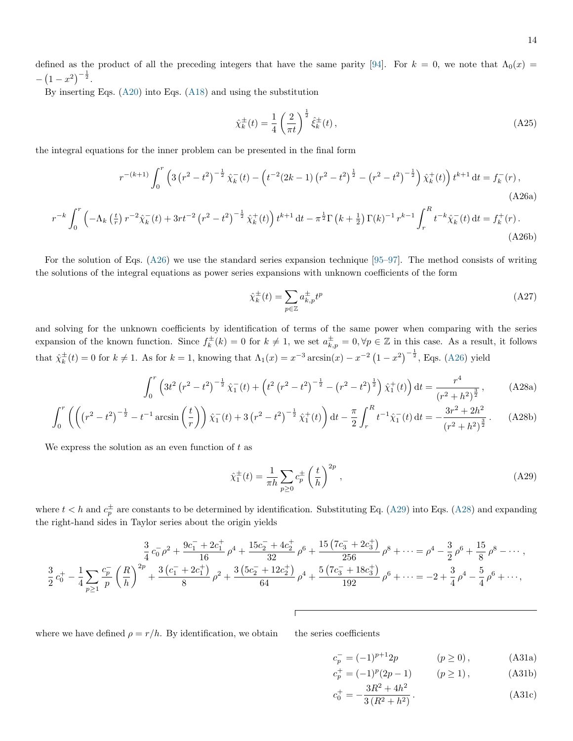defined as the product of all the preceding integers that have the same parity [\[94\]](#page-17-11). For  $k = 0$ , we note that  $\Lambda_0(x) =$  $-\left(1-x^2\right)^{-\frac{1}{2}}$ .

By inserting Eqs. [\(A20\)](#page-12-2) into Eqs. [\(A18\)](#page-12-1) and using the substitution

<span id="page-13-4"></span><span id="page-13-0"></span>
$$
\hat{\chi}_k^{\pm}(t) = \frac{1}{4} \left(\frac{2}{\pi t}\right)^{\frac{1}{2}} \hat{\xi}_k^{\pm}(t) ,\qquad (A25)
$$

the integral equations for the inner problem can be presented in the final form

$$
r^{-(k+1)} \int_0^r \left(3\left(r^2 - t^2\right)^{-\frac{1}{2}} \hat{\chi}_k^-(t) - \left(t^{-2}(2k-1)\left(r^2 - t^2\right)^{\frac{1}{2}} - \left(r^2 - t^2\right)^{-\frac{1}{2}}\right) \hat{\chi}_k^+(t)\right) t^{k+1} dt = f_k^-(r) \,,\tag{A26a}
$$

$$
r^{-k} \int_0^r \left( -\Lambda_k \left( \frac{t}{r} \right) r^{-2} \hat{\chi}_k^-(t) + 3rt^{-2} \left( r^2 - t^2 \right)^{-\frac{1}{2}} \hat{\chi}_k^+(t) \right) t^{k+1} dt - \pi^{\frac{1}{2}} \Gamma \left( k + \frac{1}{2} \right) \Gamma(k)^{-1} r^{k-1} \int_r^R t^{-k} \hat{\chi}_k^-(t) dt = f_k^+(r) \tag{A26b}
$$

For the solution of Eqs. [\(A26\)](#page-13-0) we use the standard series expansion technique [\[95–](#page-17-12)[97\]](#page-17-13). The method consists of writing the solutions of the integral equations as power series expansions with unknown coefficients of the form

<span id="page-13-2"></span>
$$
\hat{\chi}_k^{\pm}(t) = \sum_{p \in \mathbb{Z}} a_{k,p}^{\pm} t^p \tag{A27}
$$

and solving for the unknown coefficients by identification of terms of the same power when comparing with the series expansion of the known function. Since  $f_k^{\pm}(k) = 0$  for  $k \neq 1$ , we set  $a_{k,p}^{\pm} = 0, \forall p \in \mathbb{Z}$  in this case. As a result, it follows that  $\hat{\chi}_k^{\pm}(t) = 0$  for  $k \neq 1$ . As for  $k = 1$ , knowing that  $\Lambda_1(x) = x^{-3} \arcsin(x) - x^{-2} (1 - x^2)^{-\frac{1}{2}}$ , Eqs. [\(A26\)](#page-13-0) yield

$$
\int_0^r \left(3t^2 \left(r^2 - t^2\right)^{-\frac{1}{2}} \hat{\chi}_1^-(t) + \left(t^2 \left(r^2 - t^2\right)^{-\frac{1}{2}} - \left(r^2 - t^2\right)^{\frac{1}{2}}\right) \hat{\chi}_1^+(t)\right) dt = \frac{r^4}{\left(r^2 + h^2\right)^{\frac{3}{2}}},\tag{A28a}
$$

$$
\int_0^r \left( \left( \left( r^2 - t^2 \right)^{-\frac{1}{2}} - t^{-1} \arcsin\left( \frac{t}{r} \right) \right) \hat{\chi}_1^-(t) + 3 \left( r^2 - t^2 \right)^{-\frac{1}{2}} \hat{\chi}_1^+(t) \right) dt - \frac{\pi}{2} \int_r^R t^{-1} \hat{\chi}_1^-(t) dt = -\frac{3r^2 + 2h^2}{\left( r^2 + h^2 \right)^{\frac{3}{2}}} . \tag{A28b}
$$

We express the solution as an even function of  $t$  as

<span id="page-13-1"></span>
$$
\hat{\chi}_1^{\pm}(t) = \frac{1}{\pi h} \sum_{p \ge 0} c_p^{\pm} \left(\frac{t}{h}\right)^{2p},\tag{A29}
$$

where  $t < h$  and  $c_p^{\pm}$  are constants to be determined by identification. Substituting Eq. [\(A29\)](#page-13-1) into Eqs. [\(A28\)](#page-13-2) and expanding the right-hand sides in Taylor series about the origin yields

$$
\frac{3}{4}c_0^-\rho^2 + \frac{9c_1^- + 2c_1^+}{16}\rho^4 + \frac{15c_2^- + 4c_2^+}{32}\rho^6 + \frac{15\left(7c_3^- + 2c_3^+\right)}{256}\rho^8 + \dots = \rho^4 - \frac{3}{2}\rho^6 + \frac{15}{8}\rho^8 - \dots,
$$
  

$$
\frac{3}{2}c_0^+ - \frac{1}{4}\sum_{p\geq 1} \frac{c_p^-}{p} \left(\frac{R}{h}\right)^{2p} + \frac{3\left(c_1^- + 2c_1^+\right)}{8}\rho^2 + \frac{3\left(5c_2^- + 12c_2^+\right)}{64}\rho^4 + \frac{5\left(7c_3^- + 18c_3^+\right)}{192}\rho^6 + \dots = -2 + \frac{3}{4}\rho^4 - \frac{5}{4}\rho^6 + \dots,
$$

where we have defined  $\rho = r/h$ . By identification, we obtain the series coefficients

<span id="page-13-3"></span>
$$
c_p^- = (-1)^{p+1} 2p \qquad (p \ge 0), \qquad (A31a)
$$

$$
c_p^+ = (-1)^p (2p - 1) \qquad (p \ge 1), \tag{A31b}
$$

$$
c_0^+ = -\frac{3R^2 + 4h^2}{3(R^2 + h^2)}.
$$
 (A31c)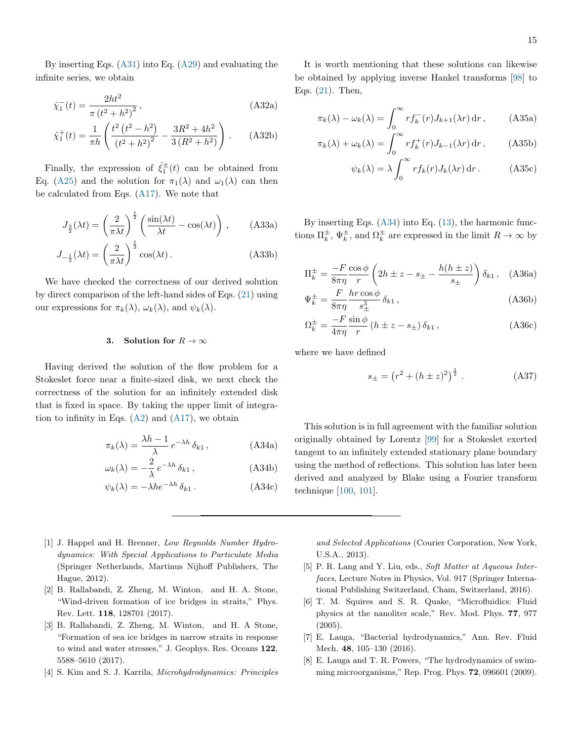By inserting Eqs. [\(A31\)](#page-13-3) into Eq. [\(A29\)](#page-13-1) and evaluating the infinite series, we obtain

$$
\hat{\chi}_1^-(t) = \frac{2ht^2}{\pi (t^2 + h^2)^2},
$$
\n(A32a)

$$
\hat{\chi}_1^+(t) = \frac{1}{\pi h} \left( \frac{t^2 (t^2 - h^2)}{(t^2 + h^2)^2} - \frac{3R^2 + 4h^2}{3(R^2 + h^2)} \right). \tag{A32b}
$$

Finally, the expression of  $\hat{\xi}_1^{\pm}(t)$  can be obtained from Eq. [\(A25\)](#page-13-4) and the solution for  $\pi_1(\lambda)$  and  $\omega_1(\lambda)$  can then be calculated from Eqs. [\(A17\)](#page-12-0). We note that

$$
J_{\frac{3}{2}}(\lambda t) = \left(\frac{2}{\pi \lambda t}\right)^{\frac{1}{2}} \left(\frac{\sin(\lambda t)}{\lambda t} - \cos(\lambda t)\right), \quad (A33a)
$$

$$
J_{-\frac{1}{2}}(\lambda t) = \left(\frac{2}{\pi \lambda t}\right)^{\frac{1}{2}} \cos(\lambda t). \tag{A33b}
$$

We have checked the correctness of our derived solution by direct comparison of the left-hand sides of Eqs. [\(21\)](#page-5-2) using our expressions for  $\pi_k(\lambda)$ ,  $\omega_k(\lambda)$ , and  $\psi_k(\lambda)$ .

## 3. Solution for  $R \to \infty$

Having derived the solution of the flow problem for a Stokeslet force near a finite-sized disk, we next check the correctness of the solution for an infinitely extended disk that is fixed in space. By taking the upper limit of integration to infinity in Eqs.  $(A2)$  and  $(A17)$ , we obtain

$$
\pi_k(\lambda) = \frac{\lambda h - 1}{\lambda} e^{-\lambda h} \delta_{k1}, \qquad (A34a)
$$

$$
\omega_k(\lambda) = -\frac{2}{\lambda} e^{-\lambda h} \delta_{k1}, \qquad (A34b)
$$

$$
\psi_k(\lambda) = -\lambda h e^{-\lambda h} \, \delta_{k1} \,. \tag{A34c}
$$

It is worth mentioning that these solutions can likewise be obtained by applying inverse Hankel transforms [\[98\]](#page-17-14) to Eqs. [\(21\)](#page-5-2). Then,

$$
\pi_k(\lambda) - \omega_k(\lambda) = \int_0^\infty r f_k^-(r) J_{k+1}(\lambda r) dr , \qquad \text{(A35a)}
$$

$$
\pi_k(\lambda) + \omega_k(\lambda) = \int_0^\infty r f_k^+(r) J_{k-1}(\lambda r) dr , \qquad (A35b)
$$

$$
\psi_k(\lambda) = \lambda \int_0^\infty r f_k(r) J_k(\lambda r) dr.
$$
 (A35c)

By inserting Eqs. [\(A34\)](#page-14-8) into Eq. [\(13\)](#page-4-4), the harmonic functions  $\Pi_k^{\pm}$ ,  $\Psi_k^{\pm}$ , and  $\Omega_k^{\pm}$  are expressed in the limit  $R \to \infty$  by

$$
\Pi_k^{\pm} = \frac{-F}{8\pi\eta} \frac{\cos\phi}{r} \left(2h \pm z - s_{\pm} - \frac{h(h \pm z)}{s_{\pm}}\right) \delta_{k1}, \quad \text{(A36a)}
$$

$$
\Psi_k^{\pm} = \frac{F}{8\pi\eta} \frac{hr\cos\phi}{s_{\pm}^3} \delta_{k1} , \qquad (A36b)
$$

$$
\Omega_k^{\pm} = \frac{-F}{4\pi\eta} \frac{\sin\phi}{r} \left( h \pm z - s_{\pm} \right) \delta_{k1},\tag{A36c}
$$

where we have defined

$$
s_{\pm} = (r^2 + (h \pm z)^2)^{\frac{1}{2}}.
$$
 (A37)

<span id="page-14-8"></span>This solution is in full agreement with the familiar solution originally obtained by Lorentz [\[99\]](#page-17-15) for a Stokeslet exerted tangent to an infinitely extended stationary plane boundary using the method of reflections. This solution has later been derived and analyzed by Blake using a Fourier transform technique [\[100,](#page-17-16) [101\]](#page-17-17).

- <span id="page-14-0"></span>[1] J. Happel and H. Brenner, Low Reynolds Number Hydrodynamics: With Special Applications to Particulate Media (Springer Netherlands, Martinus Nijhoff Publishers, The Hague, 2012).
- <span id="page-14-1"></span>[2] B. Rallabandi, Z. Zheng, M. Winton, and H. A. Stone, "Wind-driven formation of ice bridges in straits," Phys. Rev. Lett. 118, 128701 (2017).
- <span id="page-14-2"></span>[3] B. Rallabandi, Z. Zheng, M. Winton, and H. A Stone, "Formation of sea ice bridges in narrow straits in response to wind and water stresses," J. Geophys. Res. Oceans 122, 5588–5610 (2017).
- <span id="page-14-3"></span>[4] S. Kim and S. J. Karrila, Microhydrodynamics: Principles

and Selected Applications (Courier Corporation, New York, U.S.A., 2013).

- <span id="page-14-4"></span>[5] P. R. Lang and Y. Liu, eds., Soft Matter at Aqueous Interfaces, Lecture Notes in Physics, Vol. 917 (Springer International Publishing Switzerland, Cham, Switzerland, 2016).
- <span id="page-14-5"></span>[6] T. M. Squires and S. R. Quake, "Microfluidics: Fluid physics at the nanoliter scale," Rev. Mod. Phys. 77, 977 (2005).
- <span id="page-14-6"></span>[7] E. Lauga, "Bacterial hydrodynamics," Ann. Rev. Fluid Mech. 48, 105–130 (2016).
- <span id="page-14-7"></span>[8] E. Lauga and T. R. Powers, "The hydrodynamics of swimming microorganisms," Rep. Prog. Phys. 72, 096601 (2009).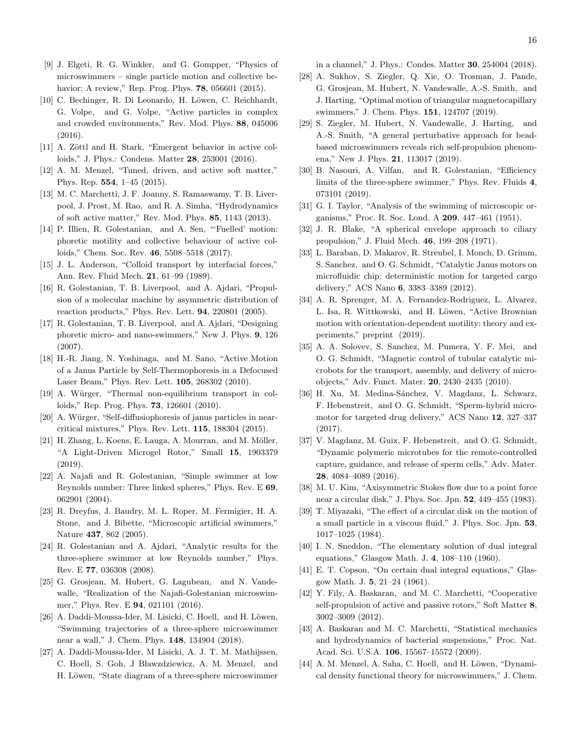- <span id="page-15-0"></span>[9] J. Elgeti, R. G. Winkler, and G. Gompper, "Physics of microswimmers – single particle motion and collective behavior: A review," Rep. Prog. Phys. **78**, 056601 (2015).
- <span id="page-15-1"></span>[10] C. Bechinger, R. Di Leonardo, H. Löwen, C. Reichhardt, G. Volpe, and G. Volpe, "Active particles in complex and crowded environments," Rev. Mod. Phys. 88, 045006 (2016).
- [11] A. Zöttl and H. Stark, "Emergent behavior in active colloids," J. Phys.: Condens. Matter 28, 253001 (2016).
- [12] A. M. Menzel, "Tuned, driven, and active soft matter," Phys. Rep. 554, 1–45 (2015).
- [13] M. C. Marchetti, J. F. Joanny, S. Ramaswamy, T. B. Liverpool, J. Prost, M. Rao, and R. A. Simha, "Hydrodynamics of soft active matter," Rev. Mod. Phys. 85, 1143 (2013).
- <span id="page-15-2"></span>[14] P. Illien, R. Golestanian, and A. Sen, "'Fuelled' motion: phoretic motility and collective behaviour of active colloids," Chem. Soc. Rev. 46, 5508–5518 (2017).
- <span id="page-15-3"></span>[15] J. L. Anderson, "Colloid transport by interfacial forces," Ann. Rev. Fluid Mech. 21, 61–99 (1989).
- [16] R. Golestanian, T. B. Liverpool, and A. Ajdari, "Propulsion of a molecular machine by asymmetric distribution of reaction products," Phys. Rev. Lett. 94, 220801 (2005).
- <span id="page-15-4"></span>[17] R. Golestanian, T. B. Liverpool, and A. Ajdari, "Designing phoretic micro- and nano-swimmers," New J. Phys. 9, 126 (2007).
- <span id="page-15-5"></span>[18] H.-R. Jiang, N. Yoshinaga, and M. Sano, "Active Motion of a Janus Particle by Self-Thermophoresis in a Defocused Laser Beam," Phys. Rev. Lett. 105, 268302 (2010).
- <span id="page-15-6"></span>[19] A. Würger, "Thermal non-equilibrium transport in colloids," Rep. Prog. Phys. 73, 126601 (2010).
- <span id="page-15-7"></span>[20] A. Würger, "Self-diffusiophoresis of janus particles in nearcritical mixtures," Phys. Rev. Lett. 115, 188304 (2015).
- <span id="page-15-8"></span>[21] H. Zhang, L. Koens, E. Lauga, A. Mourran, and M. Möller, "A Light-Driven Microgel Rotor," Small 15, 1903379 (2019).
- <span id="page-15-9"></span>[22] A. Najafi and R. Golestanian, "Simple swimmer at low Reynolds number: Three linked spheres," Phys. Rev. E 69, 062901 (2004).
- [23] R. Dreyfus, J. Baudry, M. L. Roper, M. Fermigier, H. A. Stone, and J. Bibette, "Microscopic artificial swimmers," Nature 437, 862 (2005).
- [24] R. Golestanian and A. Ajdari, "Analytic results for the three-sphere swimmer at low Reynolds number," Phys. Rev. E 77, 036308 (2008).
- [25] G. Grosjean, M. Hubert, G. Lagubeau, and N. Vandewalle, "Realization of the Najafi-Golestanian microswimmer," Phys. Rev. E **94**, 021101 (2016).
- [26] A. Daddi-Moussa-Ider, M. Lisicki, C. Hoell, and H. Löwen, "Swimming trajectories of a three-sphere microswimmer near a wall," J. Chem. Phys. 148, 134904 (2018).
- [27] A. Daddi-Moussa-Ider, M Lisicki, A. J. T. M. Mathijssen, C. Hoell, S. Goh, J Bławzdziewicz, A. M. Menzel, and H. Löwen, "State diagram of a three-sphere microswimmer

in a channel," J. Phys.: Condes. Matter 30, 254004 (2018).

- [28] A. Sukhov, S. Ziegler, Q. Xie, O. Trosman, J. Pande, G. Grosjean, M. Hubert, N. Vandewalle, A.-S. Smith, and J. Harting, "Optimal motion of triangular magnetocapillary swimmers," J. Chem. Phys. 151, 124707 (2019).
- [29] S. Ziegler, M. Hubert, N. Vandewalle, J. Harting, and A.-S. Smith, "A general perturbative approach for beadbased microswimmers reveals rich self-propulsion phenomena," New J. Phys. 21, 113017 (2019).
- <span id="page-15-10"></span>[30] B. Nasouri, A. Vilfan, and R. Golestanian, "Efficiency limits of the three-sphere swimmer," Phys. Rev. Fluids 4, 073101 (2019).
- <span id="page-15-11"></span>[31] G. I. Taylor, "Analysis of the swimming of microscopic organisms," Proc. R. Soc. Lond. A 209, 447–461 (1951).
- <span id="page-15-12"></span>[32] J. R. Blake, "A spherical envelope approach to ciliary propulsion," J. Fluid Mech. 46, 199–208 (1971).
- <span id="page-15-13"></span>[33] L. Baraban, D. Makarov, R. Streubel, I. Monch, D. Grimm, S. Sanchez, and O. G. Schmidt, "Catalytic Janus motors on microfluidic chip: deterministic motion for targeted cargo delivery," ACS Nano 6, 3383–3389 (2012).
- <span id="page-15-14"></span>[34] A. R. Sprenger, M. A. Fernandez-Rodriguez, L. Alvarez, L. Isa, R. Wittkowski, and H. Löwen, "Active Brownian motion with orientation-dependent motility: theory and experiments," preprint (2019).
- <span id="page-15-15"></span>[35] A. A. Solovev, S. Sanchez, M. Pumera, Y. F. Mei, and O. G. Schmidt, "Magnetic control of tubular catalytic microbots for the transport, assembly, and delivery of microobjects," Adv. Funct. Mater. 20, 2430–2435 (2010).
- <span id="page-15-16"></span>[36] H. Xu, M. Medina-Sánchez, V. Magdanz, L. Schwarz, F. Hebenstreit, and O. G. Schmidt, "Sperm-hybrid micromotor for targeted drug delivery," ACS Nano 12, 327–337 (2017).
- <span id="page-15-17"></span>[37] V. Magdanz, M. Guix, F. Hebenstreit, and O. G. Schmidt, "Dynamic polymeric microtubes for the remote-controlled capture, guidance, and release of sperm cells," Adv. Mater. 28, 4084–4089 (2016).
- <span id="page-15-18"></span>[38] M. U. Kim, "Axisymmetric Stokes flow due to a point force near a circular disk," J. Phys. Soc. Jpn. 52, 449–455 (1983).
- <span id="page-15-19"></span>[39] T. Miyazaki, "The effect of a circular disk on the motion of a small particle in a viscous fluid," J. Phys. Soc. Jpn. 53, 1017–1025 (1984).
- <span id="page-15-20"></span>[40] I. N. Sneddon, "The elementary solution of dual integral equations," Glasgow Math. J. 4, 108–110 (1960).
- <span id="page-15-21"></span>[41] E. T. Copson, "On certain dual integral equations," Glasgow Math. J. 5, 21–24 (1961).
- <span id="page-15-22"></span>[42] Y. Fily, A. Baskaran, and M. C. Marchetti, "Cooperative self-propulsion of active and passive rotors," Soft Matter 8, 3002–3009 (2012).
- [43] A. Baskaran and M. C. Marchetti, "Statistical mechanics and hydrodynamics of bacterial suspensions," Proc. Nat. Acad. Sci. U.S.A. 106, 15567–15572 (2009).
- [44] A. M. Menzel, A. Saha, C. Hoell, and H. Löwen, "Dynamical density functional theory for microswimmers," J. Chem.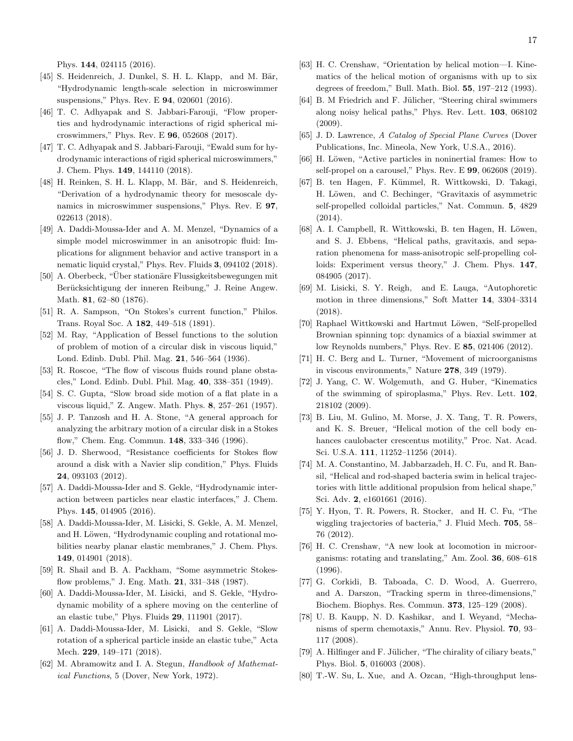Phys. 144, 024115 (2016).

- [45] S. Heidenreich, J. Dunkel, S. H. L. Klapp, and M. Bär, "Hydrodynamic length-scale selection in microswimmer suspensions," Phys. Rev. E 94, 020601 (2016).
- [46] T. C. Adhyapak and S. Jabbari-Farouji, "Flow properties and hydrodynamic interactions of rigid spherical microswimmers," Phys. Rev. E 96, 052608 (2017).
- [47] T. C. Adhyapak and S. Jabbari-Farouji, "Ewald sum for hydrodynamic interactions of rigid spherical microswimmers," J. Chem. Phys. 149, 144110 (2018).
- [48] H. Reinken, S. H. L. Klapp, M. Bär, and S. Heidenreich, "Derivation of a hydrodynamic theory for mesoscale dynamics in microswimmer suspensions," Phys. Rev. E 97, 022613 (2018).
- <span id="page-16-0"></span>[49] A. Daddi-Moussa-Ider and A. M. Menzel, "Dynamics of a simple model microswimmer in an anisotropic fluid: Implications for alignment behavior and active transport in a nematic liquid crystal," Phys. Rev. Fluids 3, 094102 (2018).
- <span id="page-16-1"></span>[50] A. Oberbeck, "Über stationäre Flussigkeitsbewegungen mit Berücksichtigung der inneren Reibung," J. Reine Angew. Math. 81, 62–80 (1876).
- [51] R. A. Sampson, "On Stokes's current function," Philos. Trans. Royal Soc. A 182, 449–518 (1891).
- [52] M. Ray, "Application of Bessel functions to the solution of problem of motion of a circular disk in viscous liquid," Lond. Edinb. Dubl. Phil. Mag. 21, 546–564 (1936).
- [53] R. Roscoe, "The flow of viscous fluids round plane obstacles," Lond. Edinb. Dubl. Phil. Mag. 40, 338–351 (1949).
- [54] S. C. Gupta, "Slow broad side motion of a flat plate in a viscous liquid," Z. Angew. Math. Phys. 8, 257–261 (1957).
- [55] J. P. Tanzosh and H. A. Stone, "A general approach for analyzing the arbitrary motion of a circular disk in a Stokes flow," Chem. Eng. Commun. 148, 333–346 (1996).
- <span id="page-16-2"></span>[56] J. D. Sherwood, "Resistance coefficients for Stokes flow around a disk with a Navier slip condition," Phys. Fluids 24, 093103 (2012).
- <span id="page-16-3"></span>[57] A. Daddi-Moussa-Ider and S. Gekle, "Hydrodynamic interaction between particles near elastic interfaces," J. Chem. Phys. 145, 014905 (2016).
- <span id="page-16-4"></span>[58] A. Daddi-Moussa-Ider, M. Lisicki, S. Gekle, A. M. Menzel, and H. Löwen, "Hydrodynamic coupling and rotational mobilities nearby planar elastic membranes," J. Chem. Phys. 149, 014901 (2018).
- <span id="page-16-5"></span>[59] R. Shail and B. A. Packham, "Some asymmetric Stokesflow problems," J. Eng. Math. 21, 331–348 (1987).
- <span id="page-16-6"></span>[60] A. Daddi-Moussa-Ider, M. Lisicki, and S. Gekle, "Hydrodynamic mobility of a sphere moving on the centerline of an elastic tube," Phys. Fluids 29, 111901 (2017).
- <span id="page-16-7"></span>[61] A. Daddi-Moussa-Ider, M. Lisicki, and S. Gekle, "Slow rotation of a spherical particle inside an elastic tube," Acta Mech. 229, 149–171 (2018).
- <span id="page-16-8"></span>[62] M. Abramowitz and I. A. Stegun, Handbook of Mathematical Functions, 5 (Dover, New York, 1972).
- <span id="page-16-9"></span>[63] H. C. Crenshaw, "Orientation by helical motion—I. Kinematics of the helical motion of organisms with up to six degrees of freedom," Bull. Math. Biol. 55, 197–212 (1993).
- <span id="page-16-10"></span>[64] B. M Friedrich and F. Jülicher, "Steering chiral swimmers along noisy helical paths," Phys. Rev. Lett. 103, 068102 (2009).
- <span id="page-16-11"></span>[65] J. D. Lawrence, A Catalog of Special Plane Curves (Dover Publications, Inc. Mineola, New York, U.S.A., 2016).
- <span id="page-16-12"></span>[66] H. Löwen, "Active particles in noninertial frames: How to self-propel on a carousel," Phys. Rev. E 99, 062608 (2019).
- <span id="page-16-13"></span>[67] B. ten Hagen, F. Kümmel, R. Wittkowski, D. Takagi, H. Löwen, and C. Bechinger, "Gravitaxis of asymmetric self-propelled colloidal particles," Nat. Commun. 5, 4829 (2014).
- <span id="page-16-14"></span>[68] A. I. Campbell, R. Wittkowski, B. ten Hagen, H. Löwen, and S. J. Ebbens, "Helical paths, gravitaxis, and separation phenomena for mass-anisotropic self-propelling colloids: Experiment versus theory," J. Chem. Phys. 147, 084905 (2017).
- <span id="page-16-15"></span>[69] M. Lisicki, S. Y. Reigh, and E. Lauga, "Autophoretic motion in three dimensions," Soft Matter 14, 3304–3314 (2018).
- <span id="page-16-16"></span>[70] Raphael Wittkowski and Hartmut Löwen, "Self-propelled Brownian spinning top: dynamics of a biaxial swimmer at low Reynolds numbers," Phys. Rev. E 85, 021406 (2012).
- <span id="page-16-17"></span>[71] H. C. Berg and L. Turner, "Movement of microorganisms in viscous environments," Nature 278, 349 (1979).
- <span id="page-16-18"></span>[72] J. Yang, C. W. Wolgemuth, and G. Huber, "Kinematics of the swimming of spiroplasma," Phys. Rev. Lett. 102, 218102 (2009).
- <span id="page-16-19"></span>[73] B. Liu, M. Gulino, M. Morse, J. X. Tang, T. R. Powers, and K. S. Breuer, "Helical motion of the cell body enhances caulobacter crescentus motility," Proc. Nat. Acad. Sci. U.S.A. 111, 11252–11256 (2014).
- <span id="page-16-20"></span>[74] M. A. Constantino, M. Jabbarzadeh, H. C. Fu, and R. Bansil, "Helical and rod-shaped bacteria swim in helical trajectories with little additional propulsion from helical shape," Sci. Adv. 2, e1601661 (2016).
- <span id="page-16-21"></span>[75] Y. Hyon, T. R. Powers, R. Stocker, and H. C. Fu, "The wiggling trajectories of bacteria," J. Fluid Mech. 705, 58– 76 (2012).
- <span id="page-16-22"></span>[76] H. C. Crenshaw, "A new look at locomotion in microorganisms: rotating and translating," Am. Zool. 36, 608–618 (1996).
- [77] G. Corkidi, B. Taboada, C. D. Wood, A. Guerrero, and A. Darszon, "Tracking sperm in three-dimensions," Biochem. Biophys. Res. Commun. 373, 125–129 (2008).
- [78] U. B. Kaupp, N. D. Kashikar, and I. Weyand, "Mechanisms of sperm chemotaxis," Annu. Rev. Physiol. 70, 93– 117 (2008).
- <span id="page-16-23"></span>[79] A. Hilfinger and F. Jülicher, "The chirality of ciliary beats," Phys. Biol. 5, 016003 (2008).
- <span id="page-16-24"></span>[80] T.-W. Su, L. Xue, and A. Ozcan, "High-throughput lens-